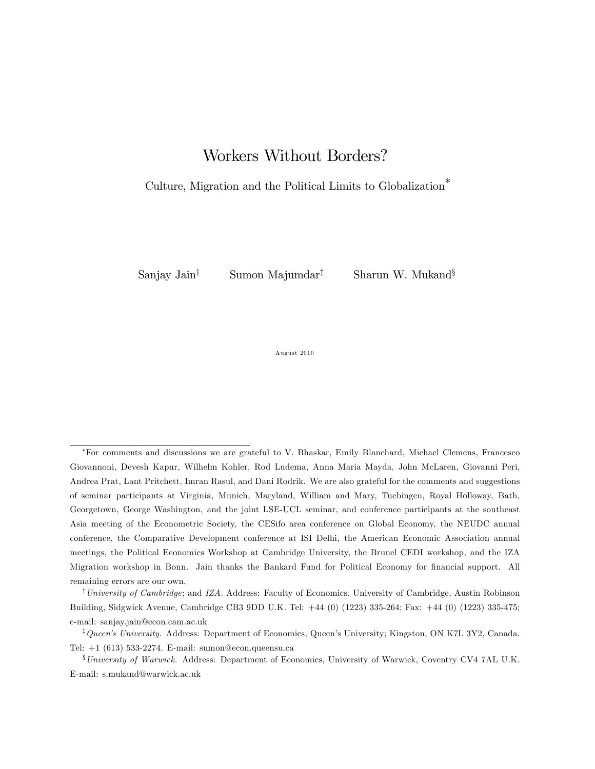# Workers Without Borders?

### Culture, Migration and the Political Limits to Globalization

Sanjay Jain<sup>†</sup> Sumon Majumdar<sup>‡</sup> Sharun W. Mukand<sup>§</sup>

August 2010

For comments and discussions we are grateful to V. Bhaskar, Emily Blanchard, Michael Clemens, Francesco Giovannoni, Devesh Kapur, Wilhelm Kohler, Rod Ludema, Anna Maria Mayda, John McLaren, Giovanni Peri, Andrea Prat, Lant Pritchett, Imran Rasul, and Dani Rodrik. We are also grateful for the comments and suggestions of seminar participants at Virginia, Munich, Maryland, William and Mary, Tuebingen, Royal Holloway, Bath, Georgetown, George Washington, and the joint LSE-UCL seminar, and conference participants at the southeast Asia meeting of the Econometric Society, the CESifo area conference on Global Economy, the NEUDC annual conference, the Comparative Development conference at ISI Delhi, the American Economic Association annual meetings, the Political Economics Workshop at Cambridge University, the Brunel CEDI workshop, and the IZA Migration workshop in Bonn. Jain thanks the Bankard Fund for Political Economy for financial support. All remaining errors are our own.

<sup>&</sup>lt;sup>†</sup>University of Cambridge; and IZA. Address: Faculty of Economics, University of Cambridge, Austin Robinson Building, Sidgwick Avenue, Cambridge CB3 9DD U.K. Tel: +44 (0) (1223) 335-264; Fax: +44 (0) (1223) 335-475; e-mail: sanjay.jain@econ.cam.ac.uk

 ${}^{\ddagger}Queen's$  University. Address: Department of Economics, Queen's University; Kingston, ON K7L 3Y2, Canada. Tel: +1 (613) 533-2274. E-mail: sumon@econ.queensu.ca

<sup>&</sup>lt;sup>§</sup>University of Warwick. Address: Department of Economics, University of Warwick, Coventry CV4 7AL U.K. E-mail: s.mukand@warwick.ac.uk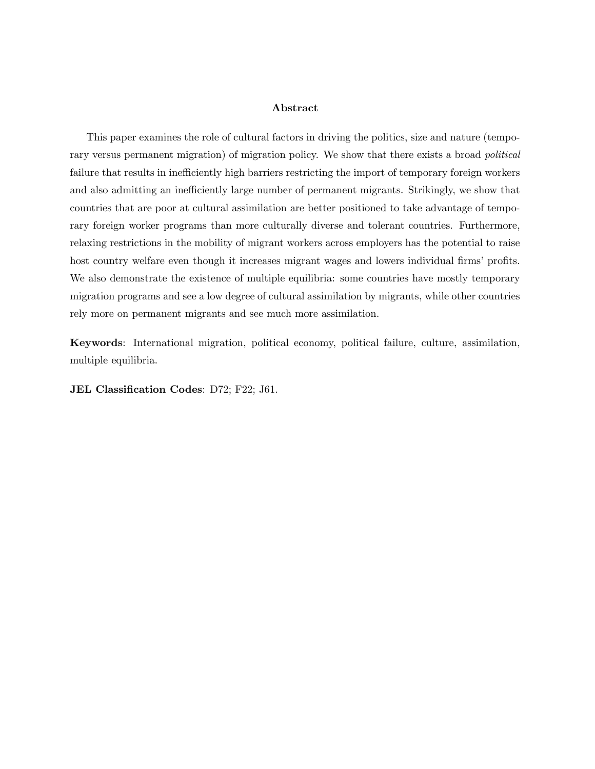#### Abstract

This paper examines the role of cultural factors in driving the politics, size and nature (temporary versus permanent migration) of migration policy. We show that there exists a broad *political* failure that results in inefficiently high barriers restricting the import of temporary foreign workers and also admitting an inefficiently large number of permanent migrants. Strikingly, we show that countries that are poor at cultural assimilation are better positioned to take advantage of temporary foreign worker programs than more culturally diverse and tolerant countries. Furthermore, relaxing restrictions in the mobility of migrant workers across employers has the potential to raise host country welfare even though it increases migrant wages and lowers individual firms' profits. We also demonstrate the existence of multiple equilibria: some countries have mostly temporary migration programs and see a low degree of cultural assimilation by migrants, while other countries rely more on permanent migrants and see much more assimilation.

Keywords: International migration, political economy, political failure, culture, assimilation, multiple equilibria.

JEL Classification Codes: D72; F22; J61.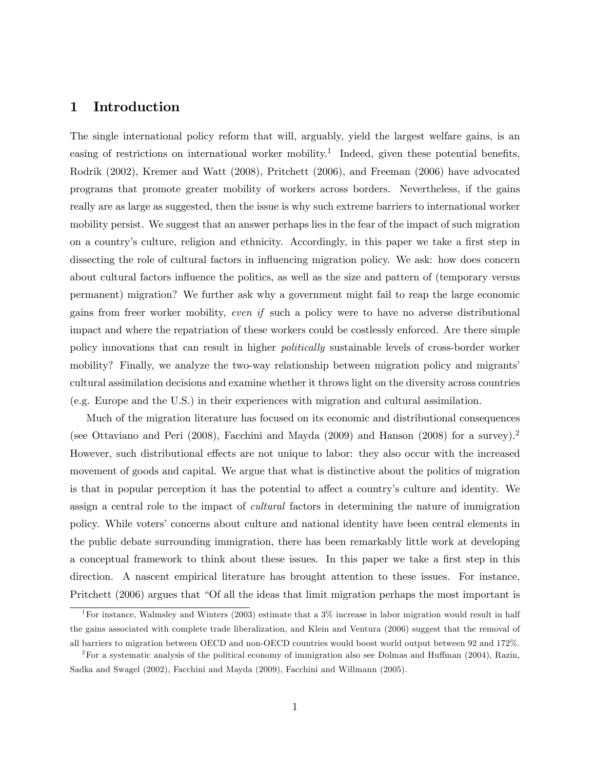### 1 Introduction

The single international policy reform that will, arguably, yield the largest welfare gains, is an easing of restrictions on international worker mobility.<sup>1</sup> Indeed, given these potential benefits, Rodrik (2002), Kremer and Watt (2008), Pritchett (2006), and Freeman (2006) have advocated programs that promote greater mobility of workers across borders. Nevertheless, if the gains really are as large as suggested, then the issue is why such extreme barriers to international worker mobility persist. We suggest that an answer perhaps lies in the fear of the impact of such migration on a country's culture, religion and ethnicity. Accordingly, in this paper we take a first step in dissecting the role of cultural factors in influencing migration policy. We ask: how does concern about cultural factors influence the politics, as well as the size and pattern of (temporary versus permanent) migration? We further ask why a government might fail to reap the large economic gains from freer worker mobility, even if such a policy were to have no adverse distributional impact and where the repatriation of these workers could be costlessly enforced. Are there simple policy innovations that can result in higher politically sustainable levels of cross-border worker mobility? Finally, we analyze the two-way relationship between migration policy and migrants' cultural assimilation decisions and examine whether it throws light on the diversity across countries (e.g. Europe and the U.S.) in their experiences with migration and cultural assimilation.

Much of the migration literature has focused on its economic and distributional consequences (see Ottaviano and Peri (2008), Facchini and Mayda (2009) and Hanson (2008) for a survey).<sup>2</sup> However, such distributional effects are not unique to labor: they also occur with the increased movement of goods and capital. We argue that what is distinctive about the politics of migration is that in popular perception it has the potential to affect a country's culture and identity. We assign a central role to the impact of cultural factors in determining the nature of immigration policy. While voters' concerns about culture and national identity have been central elements in the public debate surrounding immigration, there has been remarkably little work at developing a conceptual framework to think about these issues. In this paper we take a first step in this direction. A nascent empirical literature has brought attention to these issues. For instance, Pritchett (2006) argues that "Of all the ideas that limit migration perhaps the most important is

<sup>&</sup>lt;sup>1</sup>For instance, Walmsley and Winters (2003) estimate that a  $3\%$  increase in labor migration would result in half the gains associated with complete trade liberalization, and Klein and Ventura (2006) suggest that the removal of all barriers to migration between OECD and non-OECD countries would boost world output between 92 and 172%.

<sup>&</sup>lt;sup>2</sup>For a systematic analysis of the political economy of immigration also see Dolmas and Huffman (2004), Razin, Sadka and Swagel (2002), Facchini and Mayda (2009), Facchini and Willmann (2005).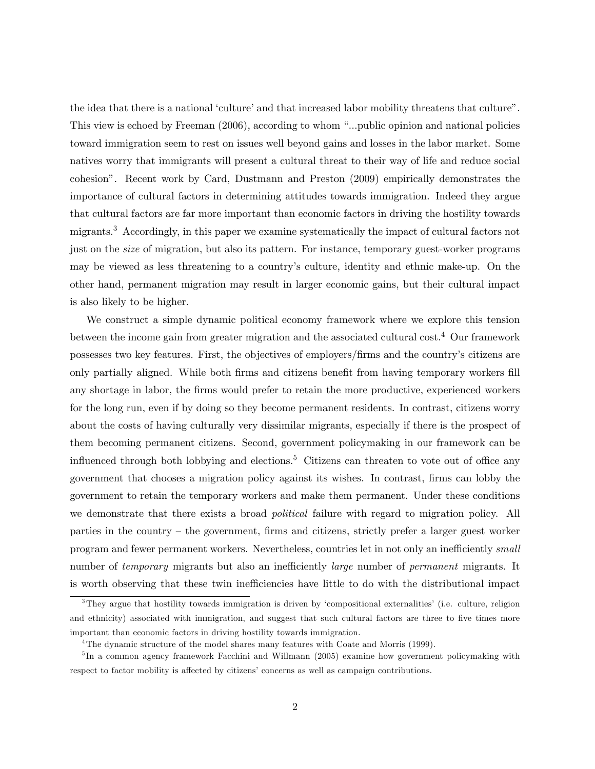the idea that there is a national 'culture' and that increased labor mobility threatens that culture". This view is echoed by Freeman (2006), according to whom "...public opinion and national policies toward immigration seem to rest on issues well beyond gains and losses in the labor market. Some natives worry that immigrants will present a cultural threat to their way of life and reduce social cohesionî. Recent work by Card, Dustmann and Preston (2009) empirically demonstrates the importance of cultural factors in determining attitudes towards immigration. Indeed they argue that cultural factors are far more important than economic factors in driving the hostility towards migrants.<sup>3</sup> Accordingly, in this paper we examine systematically the impact of cultural factors not just on the size of migration, but also its pattern. For instance, temporary guest-worker programs may be viewed as less threatening to a countryís culture, identity and ethnic make-up. On the other hand, permanent migration may result in larger economic gains, but their cultural impact is also likely to be higher.

We construct a simple dynamic political economy framework where we explore this tension between the income gain from greater migration and the associated cultural cost.<sup>4</sup> Our framework possesses two key features. First, the objectives of employers/Örms and the countryís citizens are only partially aligned. While both firms and citizens benefit from having temporary workers fill any shortage in labor, the Örms would prefer to retain the more productive, experienced workers for the long run, even if by doing so they become permanent residents. In contrast, citizens worry about the costs of having culturally very dissimilar migrants, especially if there is the prospect of them becoming permanent citizens. Second, government policymaking in our framework can be influenced through both lobbying and elections.<sup>5</sup> Citizens can threaten to vote out of office any government that chooses a migration policy against its wishes. In contrast, Örms can lobby the government to retain the temporary workers and make them permanent. Under these conditions we demonstrate that there exists a broad *political* failure with regard to migration policy. All parties in the country  $-$  the government, firms and citizens, strictly prefer a larger guest worker program and fewer permanent workers. Nevertheless, countries let in not only an inefficiently small number of *temporary* migrants but also an inefficiently *large* number of *permanent* migrants. It is worth observing that these twin inefficiencies have little to do with the distributional impact

<sup>&</sup>lt;sup>3</sup>They argue that hostility towards immigration is driven by 'compositional externalities' (i.e. culture, religion and ethnicity) associated with immigration, and suggest that such cultural factors are three to five times more important than economic factors in driving hostility towards immigration.

<sup>4</sup>The dynamic structure of the model shares many features with Coate and Morris (1999).

<sup>&</sup>lt;sup>5</sup>In a common agency framework Facchini and Willmann (2005) examine how government policymaking with respect to factor mobility is affected by citizens' concerns as well as campaign contributions.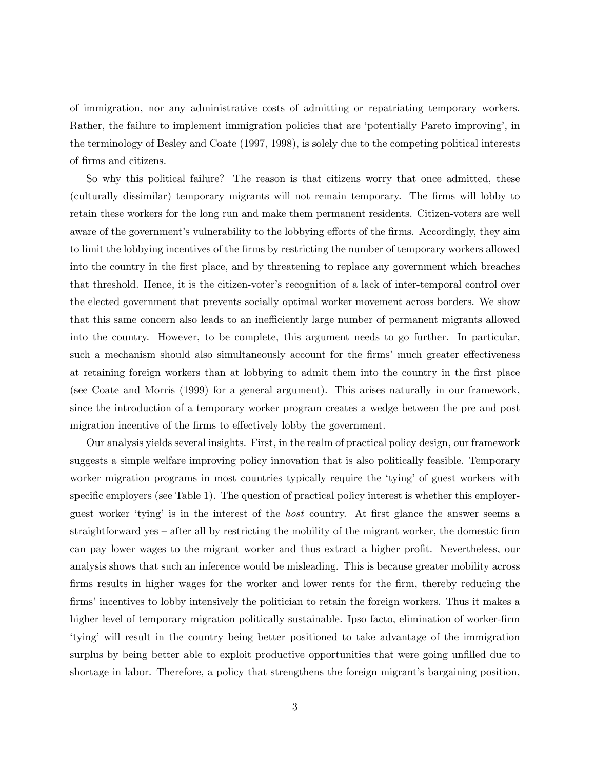of immigration, nor any administrative costs of admitting or repatriating temporary workers. Rather, the failure to implement immigration policies that are 'potentially Pareto improving', in the terminology of Besley and Coate (1997, 1998), is solely due to the competing political interests of Örms and citizens.

So why this political failure? The reason is that citizens worry that once admitted, these (culturally dissimilar) temporary migrants will not remain temporary. The Örms will lobby to retain these workers for the long run and make them permanent residents. Citizen-voters are well aware of the government's vulnerability to the lobbying efforts of the firms. Accordingly, they aim to limit the lobbying incentives of the firms by restricting the number of temporary workers allowed into the country in the first place, and by threatening to replace any government which breaches that threshold. Hence, it is the citizen-voter's recognition of a lack of inter-temporal control over the elected government that prevents socially optimal worker movement across borders. We show that this same concern also leads to an inefficiently large number of permanent migrants allowed into the country. However, to be complete, this argument needs to go further. In particular, such a mechanism should also simultaneously account for the firms' much greater effectiveness at retaining foreign workers than at lobbying to admit them into the country in the first place (see Coate and Morris (1999) for a general argument). This arises naturally in our framework, since the introduction of a temporary worker program creates a wedge between the pre and post migration incentive of the firms to effectively lobby the government.

Our analysis yields several insights. First, in the realm of practical policy design, our framework suggests a simple welfare improving policy innovation that is also politically feasible. Temporary worker migration programs in most countries typically require the 'tying' of guest workers with specific employers (see Table 1). The question of practical policy interest is whether this employerguest worker 'tying' is in the interest of the *host* country. At first glance the answer seems a straightforward yes  $\sim$  after all by restricting the mobility of the migrant worker, the domestic firm can pay lower wages to the migrant worker and thus extract a higher profit. Nevertheless, our analysis shows that such an inference would be misleading. This is because greater mobility across firms results in higher wages for the worker and lower rents for the firm, thereby reducing the firms' incentives to lobby intensively the politician to retain the foreign workers. Thus it makes a higher level of temporary migration politically sustainable. Ipso facto, elimination of worker-firm ëtyingí will result in the country being better positioned to take advantage of the immigration surplus by being better able to exploit productive opportunities that were going unfilled due to shortage in labor. Therefore, a policy that strengthens the foreign migrant's bargaining position,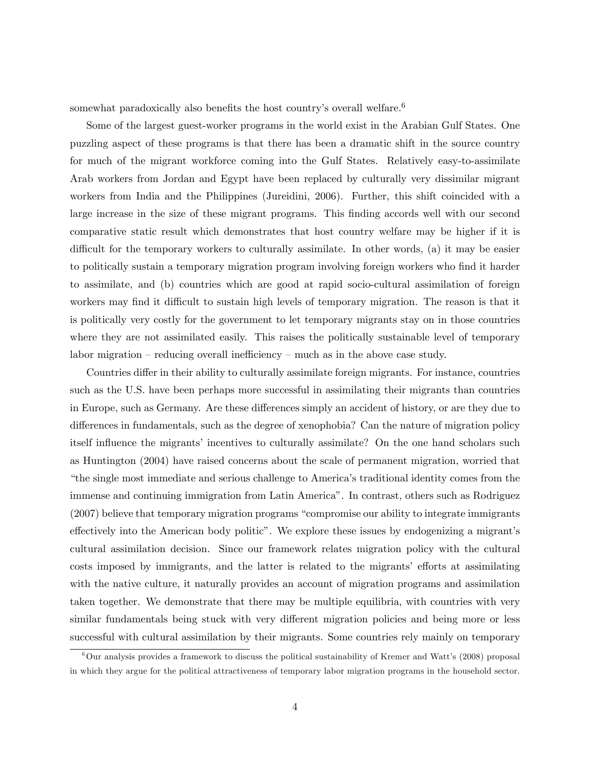somewhat paradoxically also benefits the host country's overall welfare.<sup>6</sup>

Some of the largest guest-worker programs in the world exist in the Arabian Gulf States. One puzzling aspect of these programs is that there has been a dramatic shift in the source country for much of the migrant workforce coming into the Gulf States. Relatively easy-to-assimilate Arab workers from Jordan and Egypt have been replaced by culturally very dissimilar migrant workers from India and the Philippines (Jureidini, 2006). Further, this shift coincided with a large increase in the size of these migrant programs. This Önding accords well with our second comparative static result which demonstrates that host country welfare may be higher if it is difficult for the temporary workers to culturally assimilate. In other words, (a) it may be easier to politically sustain a temporary migration program involving foreign workers who find it harder to assimilate, and (b) countries which are good at rapid socio-cultural assimilation of foreign workers may find it difficult to sustain high levels of temporary migration. The reason is that it is politically very costly for the government to let temporary migrants stay on in those countries where they are not assimilated easily. This raises the politically sustainable level of temporary labor migration  $-$  reducing overall inefficiency  $-$  much as in the above case study.

Countries differ in their ability to culturally assimilate foreign migrants. For instance, countries such as the U.S. have been perhaps more successful in assimilating their migrants than countries in Europe, such as Germany. Are these differences simply an accident of history, or are they due to differences in fundamentals, such as the degree of xenophobia? Can the nature of migration policy itself influence the migrants' incentives to culturally assimilate? On the one hand scholars such as Huntington (2004) have raised concerns about the scale of permanent migration, worried that ìthe single most immediate and serious challenge to Americaís traditional identity comes from the immense and continuing immigration from Latin America". In contrast, others such as Rodriguez  $(2007)$  believe that temporary migration programs "compromise our ability to integrate immigrants" effectively into the American body politic". We explore these issues by endogenizing a migrant's cultural assimilation decision. Since our framework relates migration policy with the cultural costs imposed by immigrants, and the latter is related to the migrants' efforts at assimilating with the native culture, it naturally provides an account of migration programs and assimilation taken together. We demonstrate that there may be multiple equilibria, with countries with very similar fundamentals being stuck with very different migration policies and being more or less successful with cultural assimilation by their migrants. Some countries rely mainly on temporary

 $6$ Our analysis provides a framework to discuss the political sustainability of Kremer and Watt's (2008) proposal in which they argue for the political attractiveness of temporary labor migration programs in the household sector.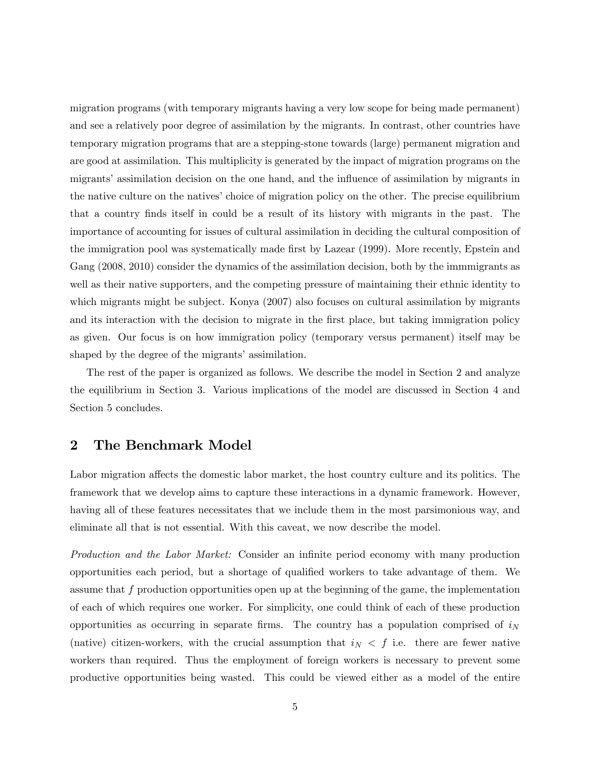migration programs (with temporary migrants having a very low scope for being made permanent) and see a relatively poor degree of assimilation by the migrants. In contrast, other countries have temporary migration programs that are a stepping-stone towards (large) permanent migration and are good at assimilation. This multiplicity is generated by the impact of migration programs on the migrants' assimilation decision on the one hand, and the influence of assimilation by migrants in the native culture on the natives' choice of migration policy on the other. The precise equilibrium that a country Önds itself in could be a result of its history with migrants in the past. The importance of accounting for issues of cultural assimilation in deciding the cultural composition of the immigration pool was systematically made first by Lazear (1999). More recently, Epstein and Gang (2008, 2010) consider the dynamics of the assimilation decision, both by the immmigrants as well as their native supporters, and the competing pressure of maintaining their ethnic identity to which migrants might be subject. Konya (2007) also focuses on cultural assimilation by migrants and its interaction with the decision to migrate in the first place, but taking immigration policy as given. Our focus is on how immigration policy (temporary versus permanent) itself may be shaped by the degree of the migrants' assimilation.

The rest of the paper is organized as follows. We describe the model in Section 2 and analyze the equilibrium in Section 3. Various implications of the model are discussed in Section 4 and Section 5 concludes.

### 2 The Benchmark Model

Labor migration affects the domestic labor market, the host country culture and its politics. The framework that we develop aims to capture these interactions in a dynamic framework. However, having all of these features necessitates that we include them in the most parsimonious way, and eliminate all that is not essential. With this caveat, we now describe the model.

Production and the Labor Market: Consider an infinite period economy with many production opportunities each period, but a shortage of qualified workers to take advantage of them. We assume that  $f$  production opportunities open up at the beginning of the game, the implementation of each of which requires one worker. For simplicity, one could think of each of these production opportunities as occurring in separate firms. The country has a population comprised of  $i<sub>N</sub>$ (native) citizen-workers, with the crucial assumption that  $i<sub>N</sub> < f$  i.e. there are fewer native workers than required. Thus the employment of foreign workers is necessary to prevent some productive opportunities being wasted. This could be viewed either as a model of the entire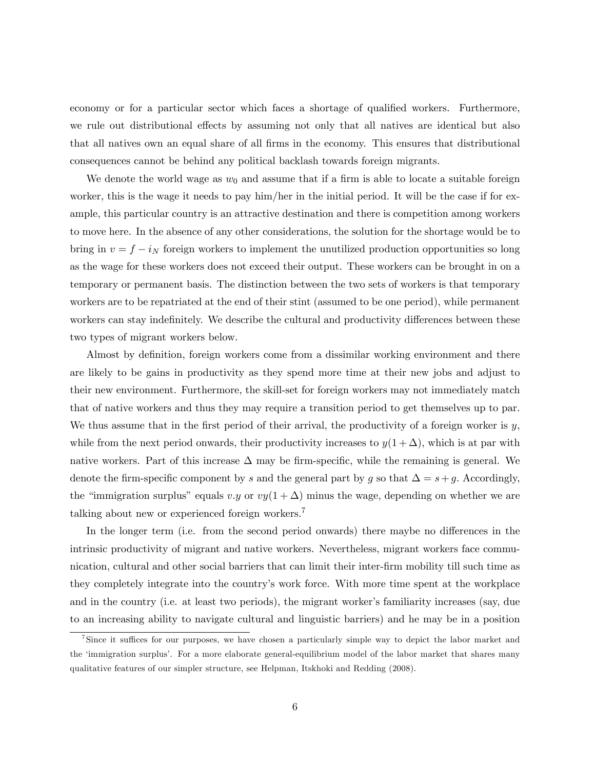economy or for a particular sector which faces a shortage of qualified workers. Furthermore, we rule out distributional effects by assuming not only that all natives are identical but also that all natives own an equal share of all firms in the economy. This ensures that distributional consequences cannot be behind any political backlash towards foreign migrants.

We denote the world wage as  $w_0$  and assume that if a firm is able to locate a suitable foreign worker, this is the wage it needs to pay him/her in the initial period. It will be the case if for example, this particular country is an attractive destination and there is competition among workers to move here. In the absence of any other considerations, the solution for the shortage would be to bring in  $v = f - i_N$  foreign workers to implement the unutilized production opportunities so long as the wage for these workers does not exceed their output. These workers can be brought in on a temporary or permanent basis. The distinction between the two sets of workers is that temporary workers are to be repatriated at the end of their stint (assumed to be one period), while permanent workers can stay indefinitely. We describe the cultural and productivity differences between these two types of migrant workers below.

Almost by definition, foreign workers come from a dissimilar working environment and there are likely to be gains in productivity as they spend more time at their new jobs and adjust to their new environment. Furthermore, the skill-set for foreign workers may not immediately match that of native workers and thus they may require a transition period to get themselves up to par. We thus assume that in the first period of their arrival, the productivity of a foreign worker is  $y$ , while from the next period onwards, their productivity increases to  $y(1+\Delta)$ , which is at par with native workers. Part of this increase  $\Delta$  may be firm-specific, while the remaining is general. We denote the firm-specific component by s and the general part by g so that  $\Delta = s + g$ . Accordingly, the "immigration surplus" equals v.y or  $vy(1 + \Delta)$  minus the wage, depending on whether we are talking about new or experienced foreign workers.<sup>7</sup>

In the longer term (i.e. from the second period onwards) there maybe no differences in the intrinsic productivity of migrant and native workers. Nevertheless, migrant workers face communication, cultural and other social barriers that can limit their inter-firm mobility till such time as they completely integrate into the countryís work force. With more time spent at the workplace and in the country (i.e. at least two periods), the migrant worker's familiarity increases (say, due to an increasing ability to navigate cultural and linguistic barriers) and he may be in a position

<sup>&</sup>lt;sup>7</sup>Since it suffices for our purposes, we have chosen a particularly simple way to depict the labor market and the ëimmigration surplusí. For a more elaborate general-equilibrium model of the labor market that shares many qualitative features of our simpler structure, see Helpman, Itskhoki and Redding (2008).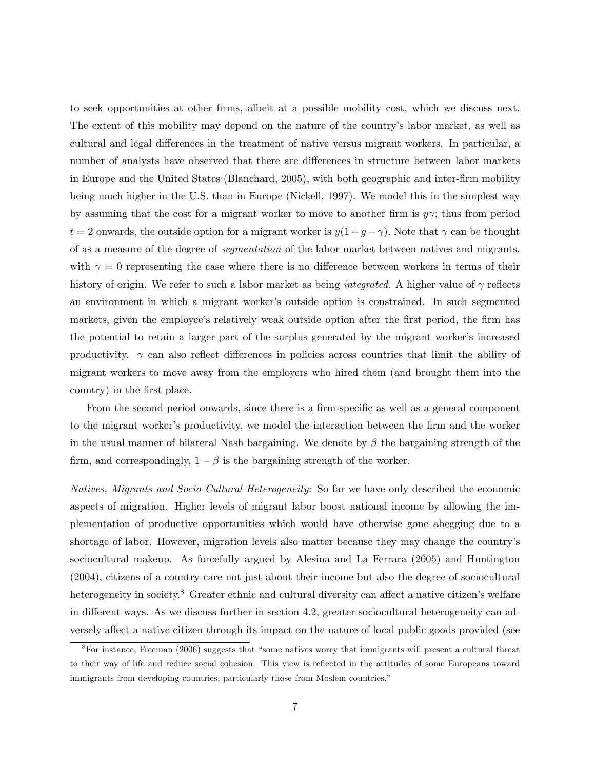to seek opportunities at other Örms, albeit at a possible mobility cost, which we discuss next. The extent of this mobility may depend on the nature of the country's labor market, as well as cultural and legal differences in the treatment of native versus migrant workers. In particular, a number of analysts have observed that there are differences in structure between labor markets in Europe and the United States (Blanchard, 2005), with both geographic and inter-firm mobility being much higher in the U.S. than in Europe (Nickell, 1997). We model this in the simplest way by assuming that the cost for a migrant worker to move to another firm is  $y\gamma$ ; thus from period  $t = 2$  onwards, the outside option for a migrant worker is  $y(1 + g - \gamma)$ . Note that  $\gamma$  can be thought of as a measure of the degree of segmentation of the labor market between natives and migrants, with  $\gamma = 0$  representing the case where there is no difference between workers in terms of their history of origin. We refer to such a labor market as being *integrated*. A higher value of  $\gamma$  reflects an environment in which a migrant worker's outside option is constrained. In such segmented markets, given the employee's relatively weak outside option after the first period, the firm has the potential to retain a larger part of the surplus generated by the migrant worker's increased productivity.  $\gamma$  can also reflect differences in policies across countries that limit the ability of migrant workers to move away from the employers who hired them (and brought them into the country) in the first place.

From the second period onwards, since there is a firm-specific as well as a general component to the migrant worker's productivity, we model the interaction between the firm and the worker in the usual manner of bilateral Nash bargaining. We denote by  $\beta$  the bargaining strength of the firm, and correspondingly,  $1 - \beta$  is the bargaining strength of the worker.

Natives, Migrants and Socio-Cultural Heterogeneity: So far we have only described the economic aspects of migration. Higher levels of migrant labor boost national income by allowing the implementation of productive opportunities which would have otherwise gone abegging due to a shortage of labor. However, migration levels also matter because they may change the countryís sociocultural makeup. As forcefully argued by Alesina and La Ferrara (2005) and Huntington (2004), citizens of a country care not just about their income but also the degree of sociocultural heterogeneity in society.<sup>8</sup> Greater ethnic and cultural diversity can affect a native citizen's welfare in different ways. As we discuss further in section 4.2, greater sociocultural heterogeneity can adversely affect a native citizen through its impact on the nature of local public goods provided (see

 $8$ For instance, Freeman (2006) suggests that "some natives worry that immigrants will present a cultural threat to their way of life and reduce social cohesion. This view is reflected in the attitudes of some Europeans toward immigrants from developing countries, particularly those from Moslem countries.<sup>"</sup>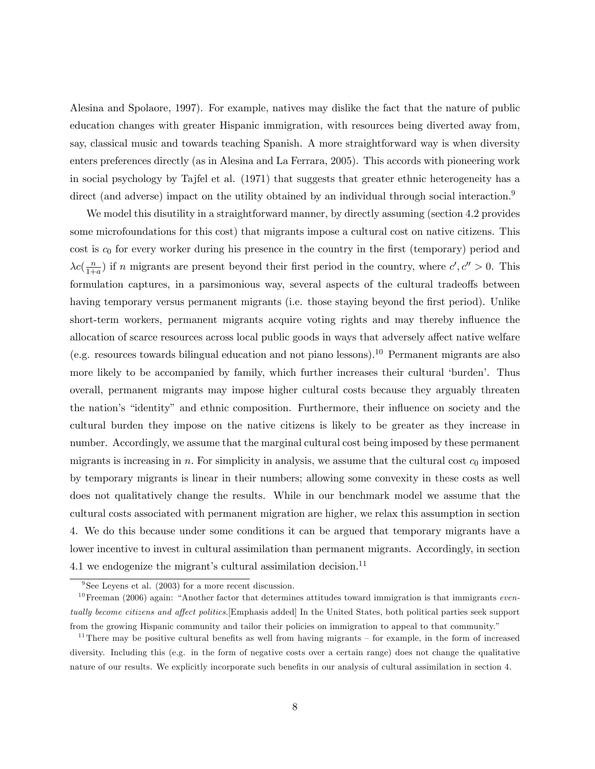Alesina and Spolaore, 1997). For example, natives may dislike the fact that the nature of public education changes with greater Hispanic immigration, with resources being diverted away from, say, classical music and towards teaching Spanish. A more straightforward way is when diversity enters preferences directly (as in Alesina and La Ferrara, 2005). This accords with pioneering work in social psychology by Tajfel et al. (1971) that suggests that greater ethnic heterogeneity has a direct (and adverse) impact on the utility obtained by an individual through social interaction.<sup>9</sup>

We model this disutility in a straightforward manner, by directly assuming (section 4.2 provides some microfoundations for this cost) that migrants impose a cultural cost on native citizens. This cost is  $c_0$  for every worker during his presence in the country in the first (temporary) period and  $\lambda c(\frac{n}{1+r})$  $\frac{n}{1+a}$ ) if n migrants are present beyond their first period in the country, where  $c', c'' > 0$ . This formulation captures, in a parsimonious way, several aspects of the cultural tradeoffs between having temporary versus permanent migrants (i.e. those staying beyond the first period). Unlike short-term workers, permanent migrants acquire voting rights and may thereby ináuence the allocation of scarce resources across local public goods in ways that adversely affect native welfare (e.g. resources towards bilingual education and not piano lessons).<sup>10</sup> Permanent migrants are also more likely to be accompanied by family, which further increases their cultural 'burden'. Thus overall, permanent migrants may impose higher cultural costs because they arguably threaten the nation's "identity" and ethnic composition. Furthermore, their influence on society and the cultural burden they impose on the native citizens is likely to be greater as they increase in number. Accordingly, we assume that the marginal cultural cost being imposed by these permanent migrants is increasing in n. For simplicity in analysis, we assume that the cultural cost  $c_0$  imposed by temporary migrants is linear in their numbers; allowing some convexity in these costs as well does not qualitatively change the results. While in our benchmark model we assume that the cultural costs associated with permanent migration are higher, we relax this assumption in section 4. We do this because under some conditions it can be argued that temporary migrants have a lower incentive to invest in cultural assimilation than permanent migrants. Accordingly, in section 4.1 we endogenize the migrant's cultural assimilation decision.<sup>11</sup>

<sup>&</sup>lt;sup>9</sup>See Leyens et al. (2003) for a more recent discussion.

 $10$  Freeman (2006) again: "Another factor that determines attitudes toward immigration is that immigrants eventually become citizens and affect politics. [Emphasis added] In the United States, both political parties seek support from the growing Hispanic community and tailor their policies on immigration to appeal to that community."

 $11$ There may be positive cultural benefits as well from having migrants  $-$  for example, in the form of increased diversity. Including this (e.g. in the form of negative costs over a certain range) does not change the qualitative nature of our results. We explicitly incorporate such benefits in our analysis of cultural assimilation in section 4.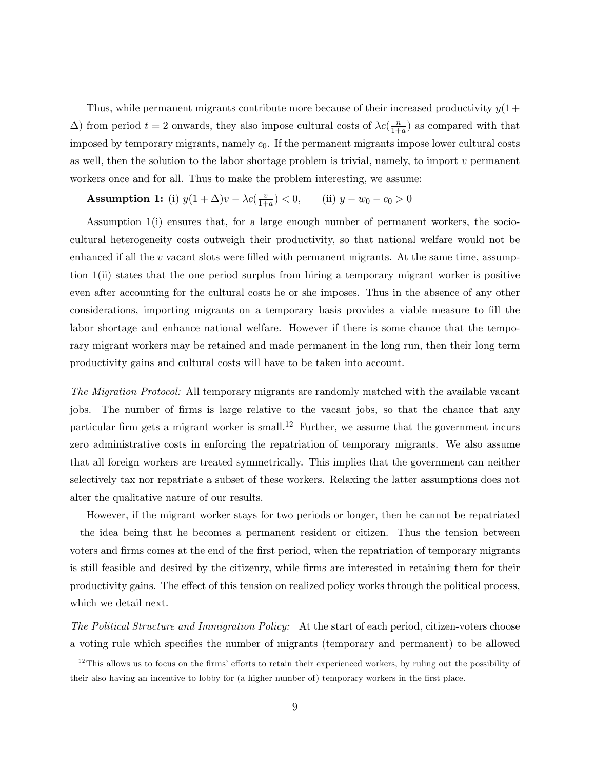Thus, while permanent migrants contribute more because of their increased productivity  $y(1+$  $(\Delta)$  from period  $t = 2$  onwards, they also impose cultural costs of  $\lambda c(\frac{n}{1+r})$  $\frac{n}{1+a}$  as compared with that imposed by temporary migrants, namely  $c_0$ . If the permanent migrants impose lower cultural costs as well, then the solution to the labor shortage problem is trivial, namely, to import  $v$  permanent workers once and for all. Thus to make the problem interesting, we assume:

**Assumption 1:** (i)  $y(1 + \Delta)v - \lambda c(\frac{v}{1 + \Delta})$  $\frac{v}{1+a}$  > 0, (ii)  $y - w_0 - c_0 > 0$ 

Assumption 1(i) ensures that, for a large enough number of permanent workers, the sociocultural heterogeneity costs outweigh their productivity, so that national welfare would not be enhanced if all the  $v$  vacant slots were filled with permanent migrants. At the same time, assumption 1(ii) states that the one period surplus from hiring a temporary migrant worker is positive even after accounting for the cultural costs he or she imposes. Thus in the absence of any other considerations, importing migrants on a temporary basis provides a viable measure to fill the labor shortage and enhance national welfare. However if there is some chance that the temporary migrant workers may be retained and made permanent in the long run, then their long term productivity gains and cultural costs will have to be taken into account.

The Migration Protocol: All temporary migrants are randomly matched with the available vacant jobs. The number of firms is large relative to the vacant jobs, so that the chance that any particular firm gets a migrant worker is small.<sup>12</sup> Further, we assume that the government incurs zero administrative costs in enforcing the repatriation of temporary migrants. We also assume that all foreign workers are treated symmetrically. This implies that the government can neither selectively tax nor repatriate a subset of these workers. Relaxing the latter assumptions does not alter the qualitative nature of our results.

However, if the migrant worker stays for two periods or longer, then he cannot be repatriated – the idea being that he becomes a permanent resident or citizen. Thus the tension between voters and firms comes at the end of the first period, when the repatriation of temporary migrants is still feasible and desired by the citizenry, while firms are interested in retaining them for their productivity gains. The effect of this tension on realized policy works through the political process, which we detail next.

The Political Structure and Immigration Policy: At the start of each period, citizen-voters choose a voting rule which specifies the number of migrants (temporary and permanent) to be allowed

 $12$ This allows us to focus on the firms' efforts to retain their experienced workers, by ruling out the possibility of their also having an incentive to lobby for (a higher number of) temporary workers in the first place.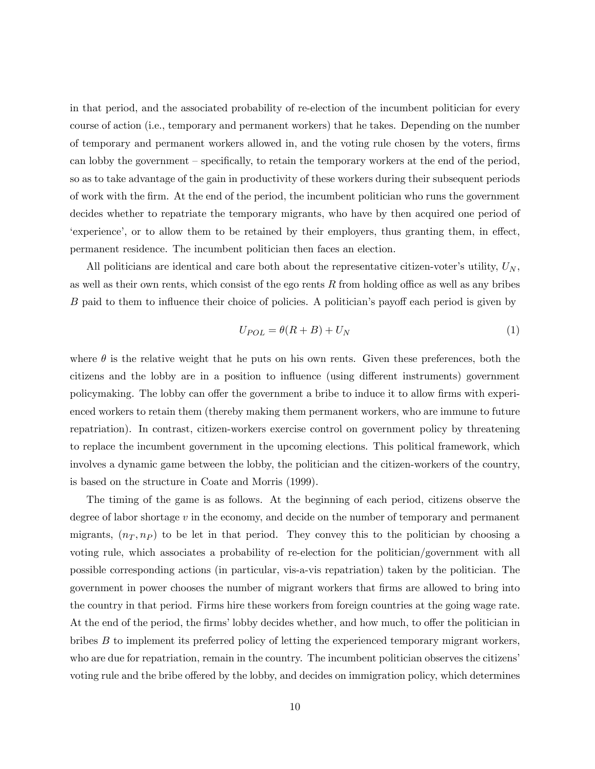in that period, and the associated probability of re-election of the incumbent politician for every course of action (i.e., temporary and permanent workers) that he takes. Depending on the number of temporary and permanent workers allowed in, and the voting rule chosen by the voters, Örms can lobby the government  $\sim$  specifically, to retain the temporary workers at the end of the period, so as to take advantage of the gain in productivity of these workers during their subsequent periods of work with the Örm. At the end of the period, the incumbent politician who runs the government decides whether to repatriate the temporary migrants, who have by then acquired one period of experience, or to allow them to be retained by their employers, thus granting them, in effect, permanent residence. The incumbent politician then faces an election.

All politicians are identical and care both about the representative citizen-voter's utility,  $U_N$ , as well as their own rents, which consist of the ego rents  $R$  from holding office as well as any bribes B paid to them to influence their choice of policies. A politician's payoff each period is given by

$$
U_{POL} = \theta(R + B) + U_N \tag{1}
$$

where  $\theta$  is the relative weight that he puts on his own rents. Given these preferences, both the citizens and the lobby are in a position to influence (using different instruments) government policymaking. The lobby can offer the government a bribe to induce it to allow firms with experienced workers to retain them (thereby making them permanent workers, who are immune to future repatriation). In contrast, citizen-workers exercise control on government policy by threatening to replace the incumbent government in the upcoming elections. This political framework, which involves a dynamic game between the lobby, the politician and the citizen-workers of the country, is based on the structure in Coate and Morris (1999).

The timing of the game is as follows. At the beginning of each period, citizens observe the degree of labor shortage  $v$  in the economy, and decide on the number of temporary and permanent migrants,  $(n<sub>T</sub>, n<sub>P</sub>)$  to be let in that period. They convey this to the politician by choosing a voting rule, which associates a probability of re-election for the politician/government with all possible corresponding actions (in particular, vis-a-vis repatriation) taken by the politician. The government in power chooses the number of migrant workers that firms are allowed to bring into the country in that period. Firms hire these workers from foreign countries at the going wage rate. At the end of the period, the firms' lobby decides whether, and how much, to offer the politician in bribes B to implement its preferred policy of letting the experienced temporary migrant workers, who are due for repatriation, remain in the country. The incumbent politician observes the citizens voting rule and the bribe offered by the lobby, and decides on immigration policy, which determines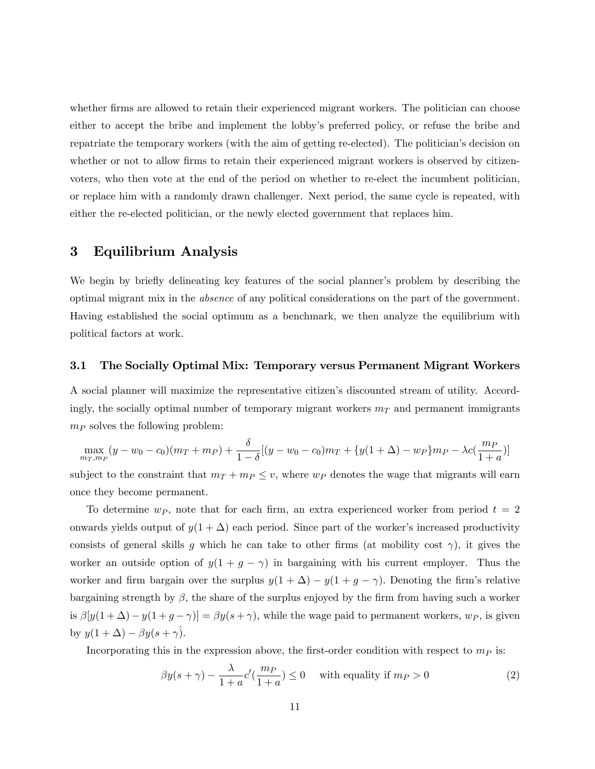whether firms are allowed to retain their experienced migrant workers. The politician can choose either to accept the bribe and implement the lobby's preferred policy, or refuse the bribe and repatriate the temporary workers (with the aim of getting re-elected). The politician's decision on whether or not to allow firms to retain their experienced migrant workers is observed by citizenvoters, who then vote at the end of the period on whether to re-elect the incumbent politician, or replace him with a randomly drawn challenger. Next period, the same cycle is repeated, with either the re-elected politician, or the newly elected government that replaces him.

### 3 Equilibrium Analysis

We begin by briefly delineating key features of the social planner's problem by describing the optimal migrant mix in the absence of any political considerations on the part of the government. Having established the social optimum as a benchmark, we then analyze the equilibrium with political factors at work.

#### 3.1 The Socially Optimal Mix: Temporary versus Permanent Migrant Workers

A social planner will maximize the representative citizenís discounted stream of utility. Accordingly, the socially optimal number of temporary migrant workers  $m<sub>T</sub>$  and permanent immigrants  $m_P$  solves the following problem:

$$
\max_{m_T, m_P} (y - w_0 - c_0)(m_T + m_P) + \frac{\delta}{1 - \delta} [(y - w_0 - c_0)m_T + \{y(1 + \Delta) - w_P\}m_P - \lambda c(\frac{m_P}{1 + a})]
$$

subject to the constraint that  $m_T + m_P \le v$ , where  $w_P$  denotes the wage that migrants will earn once they become permanent.

To determine  $w_P$ , note that for each firm, an extra experienced worker from period  $t = 2$ onwards yields output of  $y(1 + \Delta)$  each period. Since part of the worker's increased productivity consists of general skills g which he can take to other firms (at mobility cost  $\gamma$ ), it gives the worker an outside option of  $y(1 + g - \gamma)$  in bargaining with his current employer. Thus the worker and firm bargain over the surplus  $y(1 + \Delta) - y(1 + g - \gamma)$ . Denoting the firm's relative bargaining strength by  $\beta$ , the share of the surplus enjoyed by the firm from having such a worker is  $\beta[y(1+\Delta)-y(1+g-\gamma)]=\beta y(s+\gamma)$ , while the wage paid to permanent workers,  $w_P$ , is given by  $y(1 + \Delta) - \beta y(s + \gamma)$ .

Incorporating this in the expression above, the first-order condition with respect to  $m<sub>P</sub>$  is:

$$
\beta y(s+\gamma) - \frac{\lambda}{1+a} c'(\frac{m_P}{1+a}) \le 0 \quad \text{ with equality if } m_P > 0 \tag{2}
$$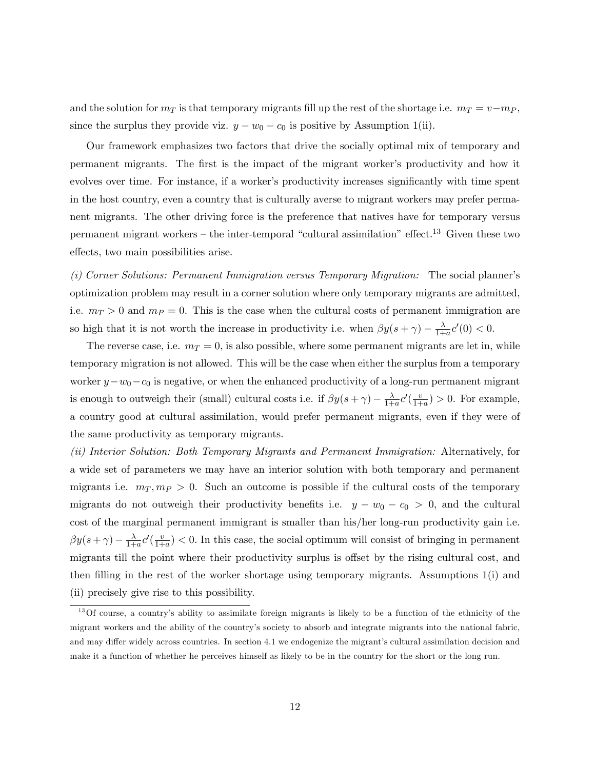and the solution for  $m<sub>T</sub>$  is that temporary migrants fill up the rest of the shortage i.e.  $m<sub>T</sub> = v-m<sub>P</sub>$ , since the surplus they provide viz.  $y - w_0 - c_0$  is positive by Assumption 1(ii).

Our framework emphasizes two factors that drive the socially optimal mix of temporary and permanent migrants. The first is the impact of the migrant worker's productivity and how it evolves over time. For instance, if a worker's productivity increases significantly with time spent in the host country, even a country that is culturally averse to migrant workers may prefer permanent migrants. The other driving force is the preference that natives have for temporary versus permanent migrant workers  $-$  the inter-temporal "cultural assimilation" effect.<sup>13</sup> Given these two effects, two main possibilities arise.

(i) Corner Solutions: Permanent Immigration versus Temporary Migration: The social plannerís optimization problem may result in a corner solution where only temporary migrants are admitted, i.e.  $m_T > 0$  and  $m_P = 0$ . This is the case when the cultural costs of permanent immigration are so high that it is not worth the increase in productivity i.e. when  $\beta y(s + \gamma) - \frac{\lambda}{1 + \lambda}$  $\frac{\lambda}{1+a}c'(0) < 0.$ 

The reverse case, i.e.  $m_T = 0$ , is also possible, where some permanent migrants are let in, while temporary migration is not allowed. This will be the case when either the surplus from a temporary worker  $y-w_0-c_0$  is negative, or when the enhanced productivity of a long-run permanent migrant is enough to outweigh their (small) cultural costs i.e. if  $\beta y(s + \gamma) - \frac{\lambda}{1 + \lambda}$  $\frac{\lambda}{1+a}c'(\frac{v}{1+b})$  $\frac{v}{1+a}$  > 0. For example, a country good at cultural assimilation, would prefer permanent migrants, even if they were of the same productivity as temporary migrants.

(ii) Interior Solution: Both Temporary Migrants and Permanent Immigration: Alternatively, for a wide set of parameters we may have an interior solution with both temporary and permanent migrants i.e.  $m<sub>T</sub>, m<sub>P</sub> > 0$ . Such an outcome is possible if the cultural costs of the temporary migrants do not outweigh their productivity benefits i.e.  $y - w_0 - c_0 > 0$ , and the cultural cost of the marginal permanent immigrant is smaller than his/her long-run productivity gain i.e.  $\beta y(s+\gamma) - \frac{\lambda}{1+\lambda}$  $\frac{\lambda}{1+a}c'(\frac{v}{1+b})$  $\frac{v}{1+a}$   $< 0$ . In this case, the social optimum will consist of bringing in permanent migrants till the point where their productivity surplus is offset by the rising cultural cost, and then filling in the rest of the worker shortage using temporary migrants. Assumptions  $1(i)$  and (ii) precisely give rise to this possibility.

<sup>&</sup>lt;sup>13</sup>Of course, a country's ability to assimilate foreign migrants is likely to be a function of the ethnicity of the migrant workers and the ability of the countryís society to absorb and integrate migrants into the national fabric, and may differ widely across countries. In section 4.1 we endogenize the migrant's cultural assimilation decision and make it a function of whether he perceives himself as likely to be in the country for the short or the long run.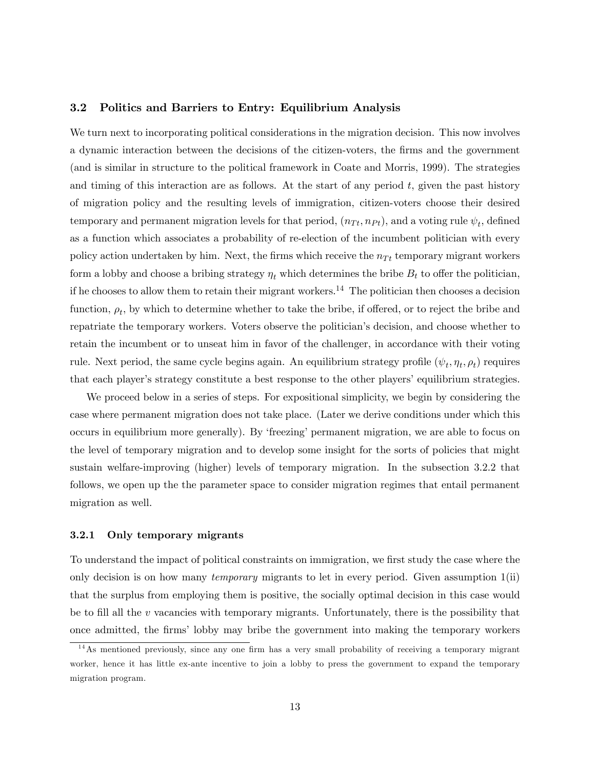#### 3.2 Politics and Barriers to Entry: Equilibrium Analysis

We turn next to incorporating political considerations in the migration decision. This now involves a dynamic interaction between the decisions of the citizen-voters, the firms and the government (and is similar in structure to the political framework in Coate and Morris, 1999). The strategies and timing of this interaction are as follows. At the start of any period  $t$ , given the past history of migration policy and the resulting levels of immigration, citizen-voters choose their desired temporary and permanent migration levels for that period,  $(n_{Tt}, n_{Pt})$ , and a voting rule  $\psi_t$ , defined as a function which associates a probability of re-election of the incumbent politician with every policy action undertaken by him. Next, the firms which receive the  $n_{T_t}$  temporary migrant workers form a lobby and choose a bribing strategy  $\eta_t$  which determines the bribe  $B_t$  to offer the politician, if he chooses to allow them to retain their migrant workers.<sup>14</sup> The politician then chooses a decision function,  $\rho_t$ , by which to determine whether to take the bribe, if offered, or to reject the bribe and repatriate the temporary workers. Voters observe the politicianís decision, and choose whether to retain the incumbent or to unseat him in favor of the challenger, in accordance with their voting rule. Next period, the same cycle begins again. An equilibrium strategy profile  $(\psi_t, \eta_t, \rho_t)$  requires that each player's strategy constitute a best response to the other players' equilibrium strategies.

We proceed below in a series of steps. For expositional simplicity, we begin by considering the case where permanent migration does not take place. (Later we derive conditions under which this occurs in equilibrium more generally). By 'freezing' permanent migration, we are able to focus on the level of temporary migration and to develop some insight for the sorts of policies that might sustain welfare-improving (higher) levels of temporary migration. In the subsection 3.2.2 that follows, we open up the the parameter space to consider migration regimes that entail permanent migration as well.

#### 3.2.1 Only temporary migrants

To understand the impact of political constraints on immigration, we first study the case where the only decision is on how many *temporary* migrants to let in every period. Given assumption  $1(ii)$ that the surplus from employing them is positive, the socially optimal decision in this case would be to fill all the  $v$  vacancies with temporary migrants. Unfortunately, there is the possibility that once admitted, the Örmsílobby may bribe the government into making the temporary workers

 $14$ As mentioned previously, since any one firm has a very small probability of receiving a temporary migrant worker, hence it has little ex-ante incentive to join a lobby to press the government to expand the temporary migration program.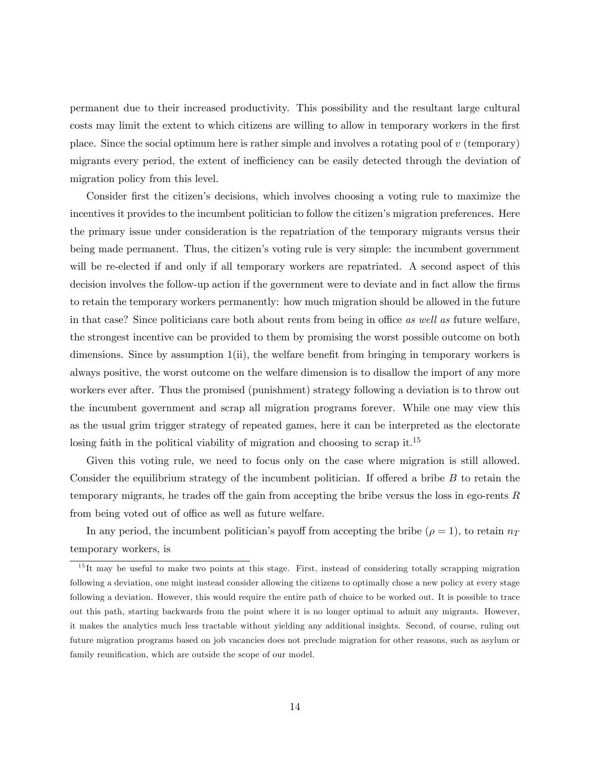permanent due to their increased productivity. This possibility and the resultant large cultural costs may limit the extent to which citizens are willing to allow in temporary workers in the first place. Since the social optimum here is rather simple and involves a rotating pool of  $v$  (temporary) migrants every period, the extent of inefficiency can be easily detected through the deviation of migration policy from this level.

Consider first the citizen's decisions, which involves choosing a voting rule to maximize the incentives it provides to the incumbent politician to follow the citizen's migration preferences. Here the primary issue under consideration is the repatriation of the temporary migrants versus their being made permanent. Thus, the citizen's voting rule is very simple: the incumbent government will be re-elected if and only if all temporary workers are repatriated. A second aspect of this decision involves the follow-up action if the government were to deviate and in fact allow the firms to retain the temporary workers permanently: how much migration should be allowed in the future in that case? Since politicians care both about rents from being in office as well as future welfare, the strongest incentive can be provided to them by promising the worst possible outcome on both dimensions. Since by assumption  $1(i)$ , the welfare benefit from bringing in temporary workers is always positive, the worst outcome on the welfare dimension is to disallow the import of any more workers ever after. Thus the promised (punishment) strategy following a deviation is to throw out the incumbent government and scrap all migration programs forever. While one may view this as the usual grim trigger strategy of repeated games, here it can be interpreted as the electorate losing faith in the political viability of migration and choosing to scrap it.<sup>15</sup>

Given this voting rule, we need to focus only on the case where migration is still allowed. Consider the equilibrium strategy of the incumbent politician. If offered a bribe  $B$  to retain the temporary migrants, he trades off the gain from accepting the bribe versus the loss in ego-rents  $R$ from being voted out of office as well as future welfare.

In any period, the incumbent politician's payoff from accepting the bribe  $(\rho = 1)$ , to retain  $n_T$ temporary workers, is

 $15$ It may be useful to make two points at this stage. First, instead of considering totally scrapping migration following a deviation, one might instead consider allowing the citizens to optimally chose a new policy at every stage following a deviation. However, this would require the entire path of choice to be worked out. It is possible to trace out this path, starting backwards from the point where it is no longer optimal to admit any migrants. However, it makes the analytics much less tractable without yielding any additional insights. Second, of course, ruling out future migration programs based on job vacancies does not preclude migration for other reasons, such as asylum or family reunification, which are outside the scope of our model.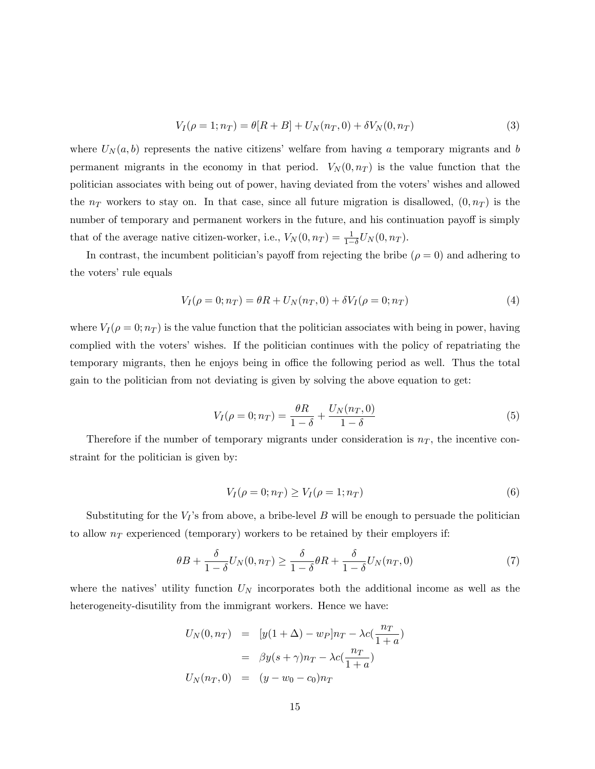$$
V_I(\rho = 1; n_T) = \theta[R + B] + U_N(n_T, 0) + \delta V_N(0, n_T)
$$
\n(3)

where  $U_N(a, b)$  represents the native citizens' welfare from having a temporary migrants and b permanent migrants in the economy in that period.  $V_N(0, n_T)$  is the value function that the politician associates with being out of power, having deviated from the voters' wishes and allowed the  $n_T$  workers to stay on. In that case, since all future migration is disallowed,  $(0, n_T)$  is the number of temporary and permanent workers in the future, and his continuation payoff is simply that of the average native citizen-worker, i.e.,  $V_N(0, n_T) = \frac{1}{1-\delta} U_N(0, n_T)$ .

In contrast, the incumbent politician's payoff from rejecting the bribe  $(\rho = 0)$  and adhering to the voters' rule equals

$$
V_I(\rho = 0; n_T) = \theta R + U_N(n_T, 0) + \delta V_I(\rho = 0; n_T)
$$
\n(4)

where  $V_I(\rho = 0; n_T)$  is the value function that the politician associates with being in power, having complied with the voters' wishes. If the politician continues with the policy of repatriating the temporary migrants, then he enjoys being in office the following period as well. Thus the total gain to the politician from not deviating is given by solving the above equation to get:

$$
V_I(\rho = 0; n_T) = \frac{\theta R}{1 - \delta} + \frac{U_N(n_T, 0)}{1 - \delta}
$$
\n(5)

Therefore if the number of temporary migrants under consideration is  $n<sub>T</sub>$ , the incentive constraint for the politician is given by:

$$
V_I(\rho = 0; n_T) \ge V_I(\rho = 1; n_T)
$$
\n(6)

Substituting for the  $V_I$ 's from above, a bribe-level B will be enough to persuade the politician to allow  $n<sub>T</sub>$  experienced (temporary) workers to be retained by their employers if:

$$
\theta B + \frac{\delta}{1 - \delta} U_N(0, n_T) \ge \frac{\delta}{1 - \delta} \theta R + \frac{\delta}{1 - \delta} U_N(n_T, 0) \tag{7}
$$

where the natives' utility function  $U_N$  incorporates both the additional income as well as the heterogeneity-disutility from the immigrant workers. Hence we have:

$$
U_N(0, n_T) = [y(1 + \Delta) - w_P]n_T - \lambda c(\frac{n_T}{1 + a})
$$

$$
= \beta y(s + \gamma)n_T - \lambda c(\frac{n_T}{1 + a})
$$

$$
U_N(n_T, 0) = (y - w_0 - c_0)n_T
$$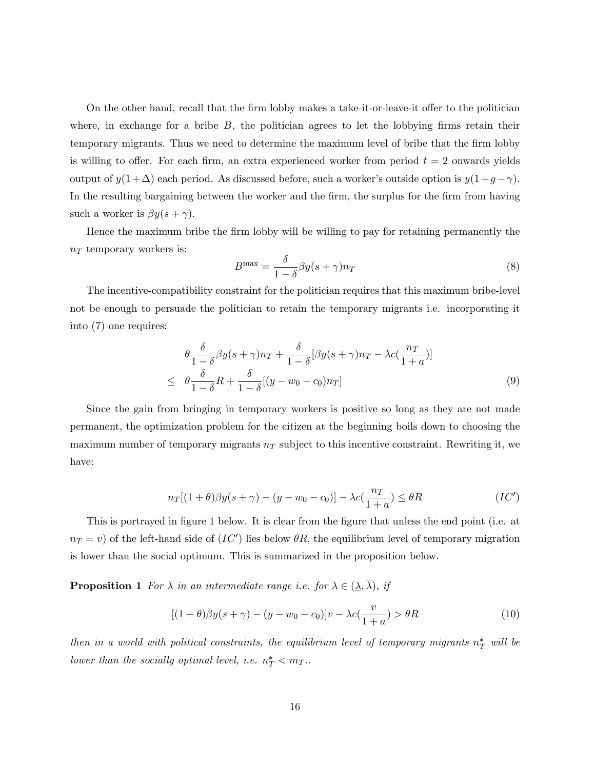On the other hand, recall that the firm lobby makes a take-it-or-leave-it offer to the politician where, in exchange for a bribe  $B$ , the politician agrees to let the lobbying firms retain their temporary migrants. Thus we need to determine the maximum level of bribe that the firm lobby is willing to offer. For each firm, an extra experienced worker from period  $t = 2$  onwards yields output of  $y(1+\Delta)$  each period. As discussed before, such a worker's outside option is  $y(1+g-\gamma)$ . In the resulting bargaining between the worker and the firm, the surplus for the firm from having such a worker is  $\beta y(s + \gamma)$ .

Hence the maximum bribe the firm lobby will be willing to pay for retaining permanently the  $n_T$  temporary workers is:

$$
B^{\max} = \frac{\delta}{1 - \delta} \beta y (s + \gamma) n_T \tag{8}
$$

The incentive-compatibility constraint for the politician requires that this maximum bribe-level not be enough to persuade the politician to retain the temporary migrants i.e. incorporating it into (7) one requires:

$$
\theta \frac{\delta}{1-\delta} \beta y(s+\gamma)n_T + \frac{\delta}{1-\delta} [\beta y(s+\gamma)n_T - \lambda c(\frac{n_T}{1+a})]
$$
  
\n
$$
\leq \theta \frac{\delta}{1-\delta} R + \frac{\delta}{1-\delta} [(y-w_0-c_0)n_T]
$$
\n(9)

Since the gain from bringing in temporary workers is positive so long as they are not made permanent, the optimization problem for the citizen at the beginning boils down to choosing the maximum number of temporary migrants  $n<sub>T</sub>$  subject to this incentive constraint. Rewriting it, we have:

$$
n_T[(1+\theta)\beta y(s+\gamma) - (y-w_0-c_0)] - \lambda c(\frac{n_T}{1+a}) \leq \theta R
$$
 (IC')

This is portrayed in figure 1 below. It is clear from the figure that unless the end point (i.e. at  $n_T = v$ ) of the left-hand side of  $(IC')$  lies below  $\theta R$ , the equilibrium level of temporary migration is lower than the social optimum. This is summarized in the proposition below.

**Proposition 1** For  $\lambda$  in an intermediate range i.e. for  $\lambda \in (\underline{\lambda}, \overline{\lambda})$ , if

$$
[(1+\theta)\beta y(s+\gamma) - (y-w_0-c_0)]v - \lambda c(\frac{v}{1+a}) > \theta R
$$
\n(10)

then in a world with political constraints, the equilibrium level of temporary migrants  $n_T^*$  will be lower than the socially optimal level, i.e.  $n_T^* < m_T$ .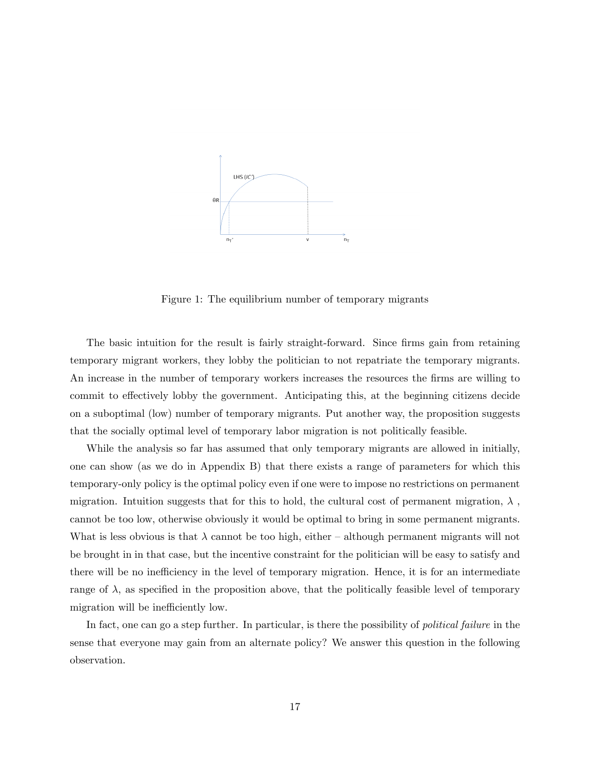

Figure 1: The equilibrium number of temporary migrants

The basic intuition for the result is fairly straight-forward. Since firms gain from retaining temporary migrant workers, they lobby the politician to not repatriate the temporary migrants. An increase in the number of temporary workers increases the resources the firms are willing to commit to effectively lobby the government. Anticipating this, at the beginning citizens decide on a suboptimal (low) number of temporary migrants. Put another way, the proposition suggests that the socially optimal level of temporary labor migration is not politically feasible.

While the analysis so far has assumed that only temporary migrants are allowed in initially, one can show (as we do in Appendix B) that there exists a range of parameters for which this temporary-only policy is the optimal policy even if one were to impose no restrictions on permanent migration. Intuition suggests that for this to hold, the cultural cost of permanent migration,  $\lambda$ , cannot be too low, otherwise obviously it would be optimal to bring in some permanent migrants. What is less obvious is that  $\lambda$  cannot be too high, either  $\alpha$ -although permanent migrants will not be brought in in that case, but the incentive constraint for the politician will be easy to satisfy and there will be no inefficiency in the level of temporary migration. Hence, it is for an intermediate range of  $\lambda$ , as specified in the proposition above, that the politically feasible level of temporary migration will be inefficiently low.

In fact, one can go a step further. In particular, is there the possibility of *political failure* in the sense that everyone may gain from an alternate policy? We answer this question in the following observation.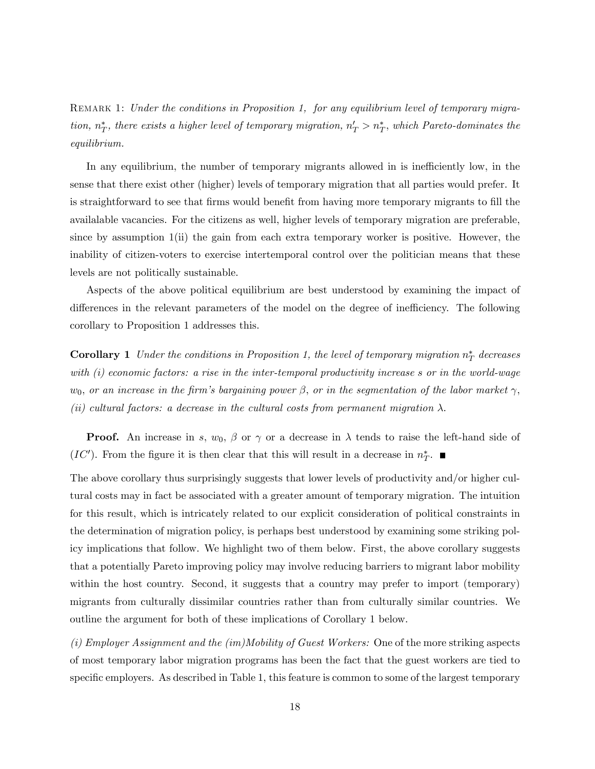REMARK 1: Under the conditions in Proposition 1, for any equilibrium level of temporary migration,  $n_T^*$ , there exists a higher level of temporary migration,  $n_T' > n_T^*$ , which Pareto-dominates the equilibrium.

In any equilibrium, the number of temporary migrants allowed in is inefficiently low, in the sense that there exist other (higher) levels of temporary migration that all parties would prefer. It is straightforward to see that firms would benefit from having more temporary migrants to fill the availalable vacancies. For the citizens as well, higher levels of temporary migration are preferable, since by assumption  $1(i)$  the gain from each extra temporary worker is positive. However, the inability of citizen-voters to exercise intertemporal control over the politician means that these levels are not politically sustainable.

Aspects of the above political equilibrium are best understood by examining the impact of differences in the relevant parameters of the model on the degree of inefficiency. The following corollary to Proposition 1 addresses this.

**Corollary 1** Under the conditions in Proposition 1, the level of temporary migration  $n_T^*$  decreases with (i) economic factors: a rise in the inter-temporal productivity increase s or in the world-wage  $w_0$ , or an increase in the firm's bargaining power  $\beta$ , or in the segmentation of the labor market  $\gamma$ , (ii) cultural factors: a decrease in the cultural costs from permanent migration  $\lambda$ .

**Proof.** An increase in s,  $w_0$ ,  $\beta$  or  $\gamma$  or a decrease in  $\lambda$  tends to raise the left-hand side of  $(IC')$ . From the figure it is then clear that this will result in a decrease in  $n_T^*$ .

The above corollary thus surprisingly suggests that lower levels of productivity and/or higher cultural costs may in fact be associated with a greater amount of temporary migration. The intuition for this result, which is intricately related to our explicit consideration of political constraints in the determination of migration policy, is perhaps best understood by examining some striking policy implications that follow. We highlight two of them below. First, the above corollary suggests that a potentially Pareto improving policy may involve reducing barriers to migrant labor mobility within the host country. Second, it suggests that a country may prefer to import (temporary) migrants from culturally dissimilar countries rather than from culturally similar countries. We outline the argument for both of these implications of Corollary 1 below.

(i) Employer Assignment and the (im)Mobility of Guest Workers: One of the more striking aspects of most temporary labor migration programs has been the fact that the guest workers are tied to specific employers. As described in Table 1, this feature is common to some of the largest temporary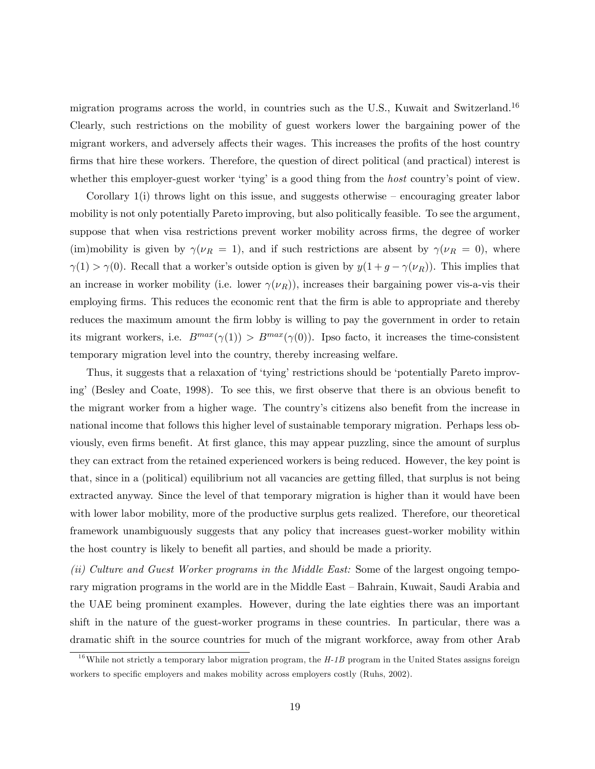migration programs across the world, in countries such as the U.S., Kuwait and Switzerland.<sup>16</sup> Clearly, such restrictions on the mobility of guest workers lower the bargaining power of the migrant workers, and adversely affects their wages. This increases the profits of the host country firms that hire these workers. Therefore, the question of direct political (and practical) interest is whether this employer-guest worker 'tying' is a good thing from the *host* country's point of view.

Corollary  $1(i)$  throws light on this issue, and suggests otherwise – encouraging greater labor mobility is not only potentially Pareto improving, but also politically feasible. To see the argument, suppose that when visa restrictions prevent worker mobility across firms, the degree of worker (im)mobility is given by  $\gamma(\nu_R = 1)$ , and if such restrictions are absent by  $\gamma(\nu_R = 0)$ , where  $\gamma(1) > \gamma(0)$ . Recall that a worker's outside option is given by  $y(1 + g - \gamma(\nu_R))$ . This implies that an increase in worker mobility (i.e. lower  $\gamma(\nu_R)$ ), increases their bargaining power vis-a-vis their employing firms. This reduces the economic rent that the firm is able to appropriate and thereby reduces the maximum amount the firm lobby is willing to pay the government in order to retain its migrant workers, i.e.  $B^{max}(\gamma(1)) > B^{max}(\gamma(0))$ . Ipso facto, it increases the time-consistent temporary migration level into the country, thereby increasing welfare.

Thus, it suggests that a relaxation of 'tying' restrictions should be 'potentially Pareto improving' (Besley and Coate, 1998). To see this, we first observe that there is an obvious benefit to the migrant worker from a higher wage. The country's citizens also benefit from the increase in national income that follows this higher level of sustainable temporary migration. Perhaps less obviously, even firms benefit. At first glance, this may appear puzzling, since the amount of surplus they can extract from the retained experienced workers is being reduced. However, the key point is that, since in a (political) equilibrium not all vacancies are getting Ölled, that surplus is not being extracted anyway. Since the level of that temporary migration is higher than it would have been with lower labor mobility, more of the productive surplus gets realized. Therefore, our theoretical framework unambiguously suggests that any policy that increases guest-worker mobility within the host country is likely to benefit all parties, and should be made a priority.

(ii) Culture and Guest Worker programs in the Middle East: Some of the largest ongoing temporary migration programs in the world are in the Middle East – Bahrain, Kuwait, Saudi Arabia and the UAE being prominent examples. However, during the late eighties there was an important shift in the nature of the guest-worker programs in these countries. In particular, there was a dramatic shift in the source countries for much of the migrant workforce, away from other Arab

 $16$ While not strictly a temporary labor migration program, the  $H$ -1B program in the United States assigns foreign workers to specific employers and makes mobility across employers costly (Ruhs, 2002).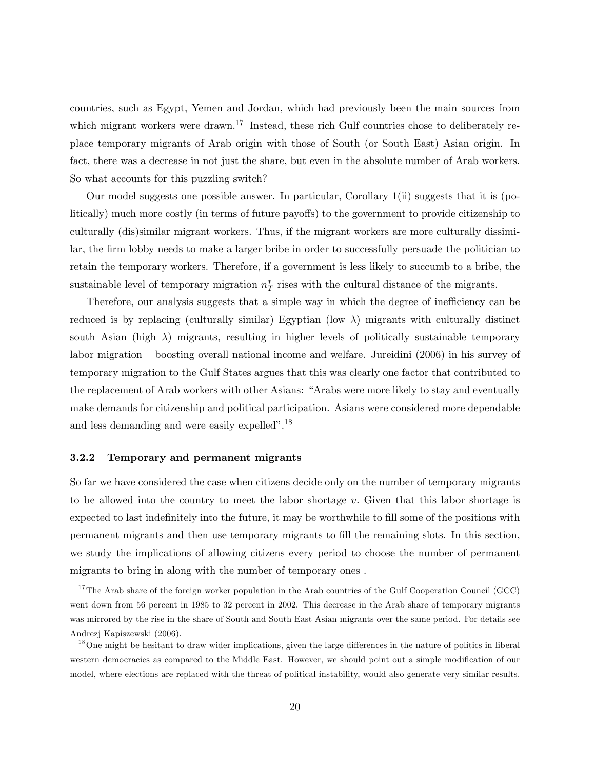countries, such as Egypt, Yemen and Jordan, which had previously been the main sources from which migrant workers were drawn.<sup>17</sup> Instead, these rich Gulf countries chose to deliberately replace temporary migrants of Arab origin with those of South (or South East) Asian origin. In fact, there was a decrease in not just the share, but even in the absolute number of Arab workers. So what accounts for this puzzling switch?

Our model suggests one possible answer. In particular, Corollary 1(ii) suggests that it is (politically) much more costly (in terms of future payoffs) to the government to provide citizenship to culturally (dis)similar migrant workers. Thus, if the migrant workers are more culturally dissimilar, the firm lobby needs to make a larger bribe in order to successfully persuade the politician to retain the temporary workers. Therefore, if a government is less likely to succumb to a bribe, the sustainable level of temporary migration  $n_T^*$  rises with the cultural distance of the migrants.

Therefore, our analysis suggests that a simple way in which the degree of inefficiency can be reduced is by replacing (culturally similar) Egyptian (low  $\lambda$ ) migrants with culturally distinct south Asian (high  $\lambda$ ) migrants, resulting in higher levels of politically sustainable temporary labor migration  $\sim$  boosting overall national income and welfare. Jureidini (2006) in his survey of temporary migration to the Gulf States argues that this was clearly one factor that contributed to the replacement of Arab workers with other Asians: "Arabs were more likely to stay and eventually make demands for citizenship and political participation. Asians were considered more dependable and less demanding and were easily expelled".<sup>18</sup>

### 3.2.2 Temporary and permanent migrants

So far we have considered the case when citizens decide only on the number of temporary migrants to be allowed into the country to meet the labor shortage  $v$ . Given that this labor shortage is expected to last indefinitely into the future, it may be worthwhile to fill some of the positions with permanent migrants and then use temporary migrants to Öll the remaining slots. In this section, we study the implications of allowing citizens every period to choose the number of permanent migrants to bring in along with the number of temporary ones .

 $17$ The Arab share of the foreign worker population in the Arab countries of the Gulf Cooperation Council (GCC) went down from 56 percent in 1985 to 32 percent in 2002. This decrease in the Arab share of temporary migrants was mirrored by the rise in the share of South and South East Asian migrants over the same period. For details see Andrezj Kapiszewski (2006).

 $18$ One might be hesitant to draw wider implications, given the large differences in the nature of politics in liberal western democracies as compared to the Middle East. However, we should point out a simple modification of our model, where elections are replaced with the threat of political instability, would also generate very similar results.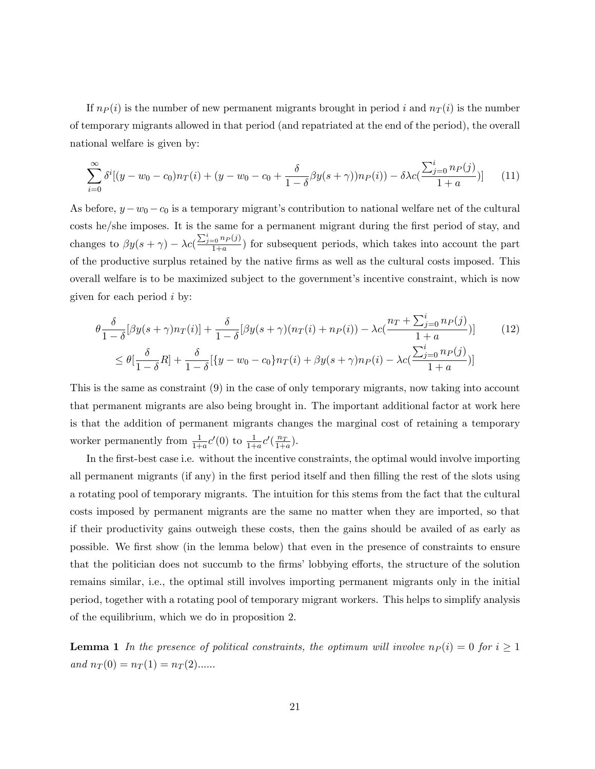If  $n_P(i)$  is the number of new permanent migrants brought in period i and  $n_T(i)$  is the number of temporary migrants allowed in that period (and repatriated at the end of the period), the overall national welfare is given by:

$$
\sum_{i=0}^{\infty} \delta^i [(y - w_0 - c_0) n_T(i) + (y - w_0 - c_0 + \frac{\delta}{1 - \delta} \beta y(s + \gamma)) n_P(i) - \delta \lambda c \left( \frac{\sum_{j=0}^i n_P(j)}{1 + a} \right)] \tag{11}
$$

As before,  $y - w_0 - c_0$  is a temporary migrant's contribution to national welfare net of the cultural costs he/she imposes. It is the same for a permanent migrant during the first period of stay, and changes to  $\beta y(s + \gamma) - \lambda c \left( \frac{\sum_{j=0}^{i} n_P(j)}{1+a} \right)$  $\frac{1}{1+a}$  for subsequent periods, which takes into account the part of the productive surplus retained by the native Örms as well as the cultural costs imposed. This overall welfare is to be maximized subject to the government's incentive constraint, which is now given for each period i by:

$$
\theta \frac{\delta}{1-\delta} [\beta y(s+\gamma)n_T(i)] + \frac{\delta}{1-\delta} [\beta y(s+\gamma)(n_T(i) + n_P(i)) - \lambda c(\frac{n_T + \sum_{j=0}^i n_P(j)}{1+a})] \tag{12}
$$
\n
$$
\leq \theta [\frac{\delta}{1-\delta}R] + \frac{\delta}{1-\delta} [\{y-w_0-c_0\}n_T(i) + \beta y(s+\gamma)n_P(i) - \lambda c(\frac{\sum_{j=0}^i n_P(j)}{1+a})]
$$

This is the same as constraint (9) in the case of only temporary migrants, now taking into account that permanent migrants are also being brought in. The important additional factor at work here is that the addition of permanent migrants changes the marginal cost of retaining a temporary worker permanently from  $\frac{1}{1+a}c'(0)$  to  $\frac{1}{1+a}c'(\frac{n_T}{1+a})$ .

In the first-best case i.e. without the incentive constraints, the optimal would involve importing all permanent migrants (if any) in the first period itself and then filling the rest of the slots using a rotating pool of temporary migrants. The intuition for this stems from the fact that the cultural costs imposed by permanent migrants are the same no matter when they are imported, so that if their productivity gains outweigh these costs, then the gains should be availed of as early as possible. We Örst show (in the lemma below) that even in the presence of constraints to ensure that the politician does not succumb to the firms' lobbying efforts, the structure of the solution remains similar, i.e., the optimal still involves importing permanent migrants only in the initial period, together with a rotating pool of temporary migrant workers. This helps to simplify analysis of the equilibrium, which we do in proposition 2.

**Lemma 1** In the presence of political constraints, the optimum will involve  $n_P(i) = 0$  for  $i \ge 1$ and  $n_T(0) = n_T(1) = n_T(2)$ .....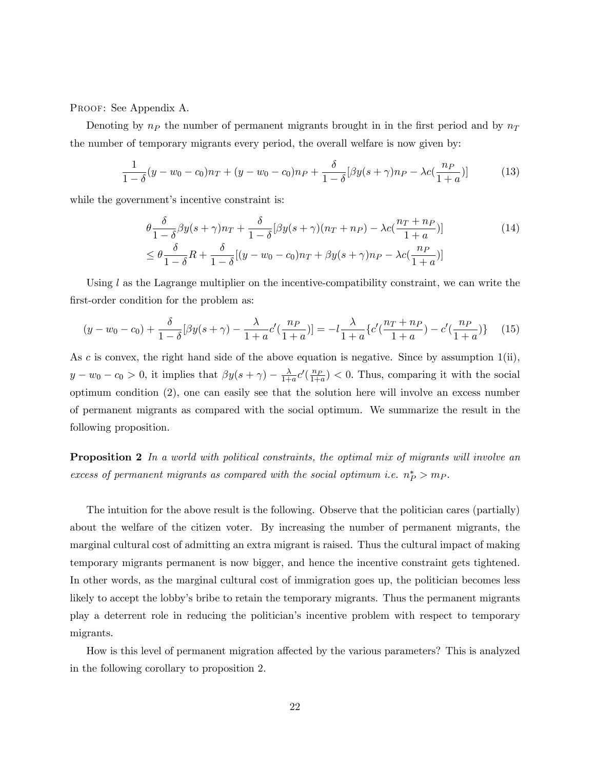PROOF: See Appendix A.

Denoting by  $n_P$  the number of permanent migrants brought in in the first period and by  $n_T$ the number of temporary migrants every period, the overall welfare is now given by:

$$
\frac{1}{1-\delta}(y-w_0-c_0)n_T + (y-w_0-c_0)n_P + \frac{\delta}{1-\delta}[\beta y(s+\gamma)n_P - \lambda c(\frac{n_P}{1+a})]
$$
(13)

while the government's incentive constraint is:

$$
\theta \frac{\delta}{1-\delta} \beta y(s+\gamma)n_T + \frac{\delta}{1-\delta} [\beta y(s+\gamma)(n_T+n_P) - \lambda c(\frac{n_T+n_P}{1+a})]
$$
\n
$$
\leq \theta \frac{\delta}{1-\delta} R + \frac{\delta}{1-\delta} [(y-w_0-c_0)n_T + \beta y(s+\gamma)n_P - \lambda c(\frac{n_P}{1+a})]
$$
\n(14)

Using  $l$  as the Lagrange multiplier on the incentive-compatibility constraint, we can write the first-order condition for the problem as:

$$
(y - w_0 - c_0) + \frac{\delta}{1 - \delta} [\beta y (s + \gamma) - \frac{\lambda}{1 + a} c'(\frac{n_P}{1 + a})] = -l \frac{\lambda}{1 + a} \{c'(\frac{n_T + n_P}{1 + a}) - c'(\frac{n_P}{1 + a})\} \tag{15}
$$

As c is convex, the right hand side of the above equation is negative. Since by assumption  $1(i)$ ,  $y - w_0 - c_0 > 0$ , it implies that  $\beta y(s + \gamma) - \frac{\lambda}{1 + \lambda}$  $\frac{\lambda}{1+a}c'(\frac{n_P}{1+a}) < 0$ . Thus, comparing it with the social optimum condition (2), one can easily see that the solution here will involve an excess number of permanent migrants as compared with the social optimum. We summarize the result in the following proposition.

**Proposition 2** In a world with political constraints, the optimal mix of migrants will involve an excess of permanent migrants as compared with the social optimum i.e.  $n_P^* > m_P$ .

The intuition for the above result is the following. Observe that the politician cares (partially) about the welfare of the citizen voter. By increasing the number of permanent migrants, the marginal cultural cost of admitting an extra migrant is raised. Thus the cultural impact of making temporary migrants permanent is now bigger, and hence the incentive constraint gets tightened. In other words, as the marginal cultural cost of immigration goes up, the politician becomes less likely to accept the lobby's bribe to retain the temporary migrants. Thus the permanent migrants play a deterrent role in reducing the politicianís incentive problem with respect to temporary migrants.

How is this level of permanent migration affected by the various parameters? This is analyzed in the following corollary to proposition 2.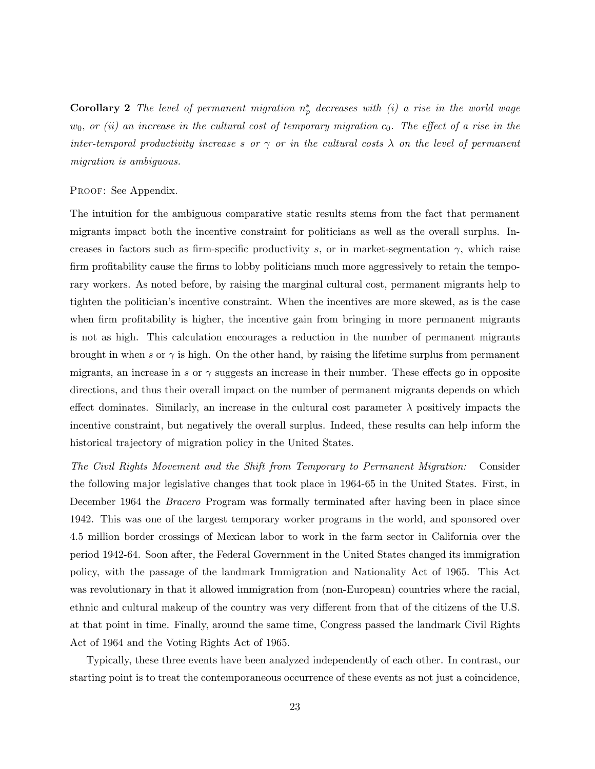**Corollary 2** The level of permanent migration  $n_p^*$  decreases with (i) a rise in the world wage  $w_0$ , or (ii) an increase in the cultural cost of temporary migration  $c_0$ . The effect of a rise in the inter-temporal productivity increase s or  $\gamma$  or in the cultural costs  $\lambda$  on the level of permanent migration is ambiguous.

#### PROOF: See Appendix.

The intuition for the ambiguous comparative static results stems from the fact that permanent migrants impact both the incentive constraint for politicians as well as the overall surplus. Increases in factors such as firm-specific productivity s, or in market-segmentation  $\gamma$ , which raise firm profitability cause the firms to lobby politicians much more aggressively to retain the temporary workers. As noted before, by raising the marginal cultural cost, permanent migrants help to tighten the politician's incentive constraint. When the incentives are more skewed, as is the case when firm profitability is higher, the incentive gain from bringing in more permanent migrants is not as high. This calculation encourages a reduction in the number of permanent migrants brought in when s or  $\gamma$  is high. On the other hand, by raising the lifetime surplus from permanent migrants, an increase in s or  $\gamma$  suggests an increase in their number. These effects go in opposite directions, and thus their overall impact on the number of permanent migrants depends on which effect dominates. Similarly, an increase in the cultural cost parameter  $\lambda$  positively impacts the incentive constraint, but negatively the overall surplus. Indeed, these results can help inform the historical trajectory of migration policy in the United States.

The Civil Rights Movement and the Shift from Temporary to Permanent Migration: Consider the following major legislative changes that took place in 1964-65 in the United States. First, in December 1964 the Bracero Program was formally terminated after having been in place since 1942. This was one of the largest temporary worker programs in the world, and sponsored over 4.5 million border crossings of Mexican labor to work in the farm sector in California over the period 1942-64. Soon after, the Federal Government in the United States changed its immigration policy, with the passage of the landmark Immigration and Nationality Act of 1965. This Act was revolutionary in that it allowed immigration from (non-European) countries where the racial, ethnic and cultural makeup of the country was very different from that of the citizens of the U.S. at that point in time. Finally, around the same time, Congress passed the landmark Civil Rights Act of 1964 and the Voting Rights Act of 1965.

Typically, these three events have been analyzed independently of each other. In contrast, our starting point is to treat the contemporaneous occurrence of these events as not just a coincidence,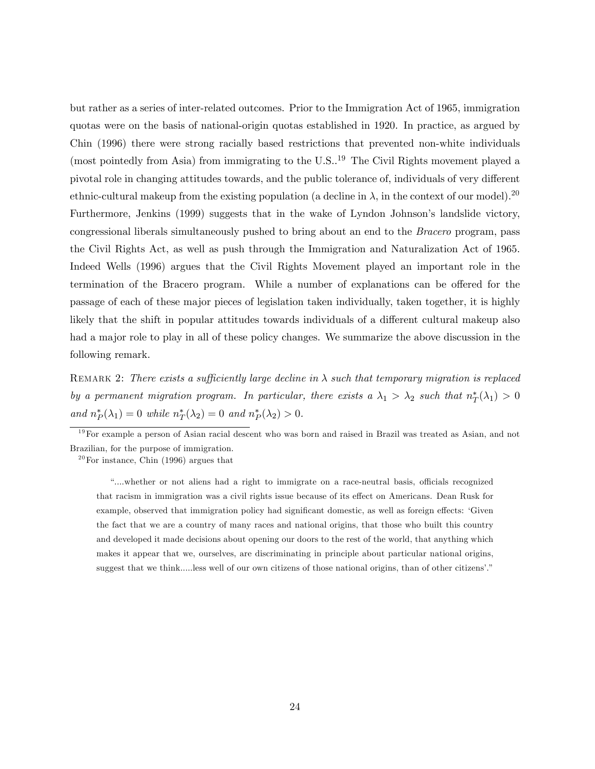but rather as a series of inter-related outcomes. Prior to the Immigration Act of 1965, immigration quotas were on the basis of national-origin quotas established in 1920. In practice, as argued by Chin (1996) there were strong racially based restrictions that prevented non-white individuals (most pointedly from Asia) from immigrating to the  $U.S.^{19}$  The Civil Rights movement played a pivotal role in changing attitudes towards, and the public tolerance of, individuals of very different ethnic-cultural makeup from the existing population (a decline in  $\lambda$ , in the context of our model).<sup>20</sup> Furthermore, Jenkins (1999) suggests that in the wake of Lyndon Johnson's landslide victory, congressional liberals simultaneously pushed to bring about an end to the Bracero program, pass the Civil Rights Act, as well as push through the Immigration and Naturalization Act of 1965. Indeed Wells (1996) argues that the Civil Rights Movement played an important role in the termination of the Bracero program. While a number of explanations can be offered for the passage of each of these major pieces of legislation taken individually, taken together, it is highly likely that the shift in popular attitudes towards individuals of a different cultural makeup also had a major role to play in all of these policy changes. We summarize the above discussion in the following remark.

REMARK 2: There exists a sufficiently large decline in  $\lambda$  such that temporary migration is replaced by a permanent migration program. In particular, there exists a  $\lambda_1 > \lambda_2$  such that  $n_T^*(\lambda_1) > 0$ and  $n_P^*(\lambda_1) = 0$  while  $n_T^*(\lambda_2) = 0$  and  $n_P^*(\lambda_2) > 0$ .

ì....whether or not aliens had a right to immigrate on a race-neutral basis, o¢ cials recognized that racism in immigration was a civil rights issue because of its effect on Americans. Dean Rusk for example, observed that immigration policy had significant domestic, as well as foreign effects: 'Given the fact that we are a country of many races and national origins, that those who built this country and developed it made decisions about opening our doors to the rest of the world, that anything which makes it appear that we, ourselves, are discriminating in principle about particular national origins, suggest that we think.....less well of our own citizens of those national origins, than of other citizens'."

 $19$ For example a person of Asian racial descent who was born and raised in Brazil was treated as Asian, and not Brazilian, for the purpose of immigration.

 $20$  For instance, Chin (1996) argues that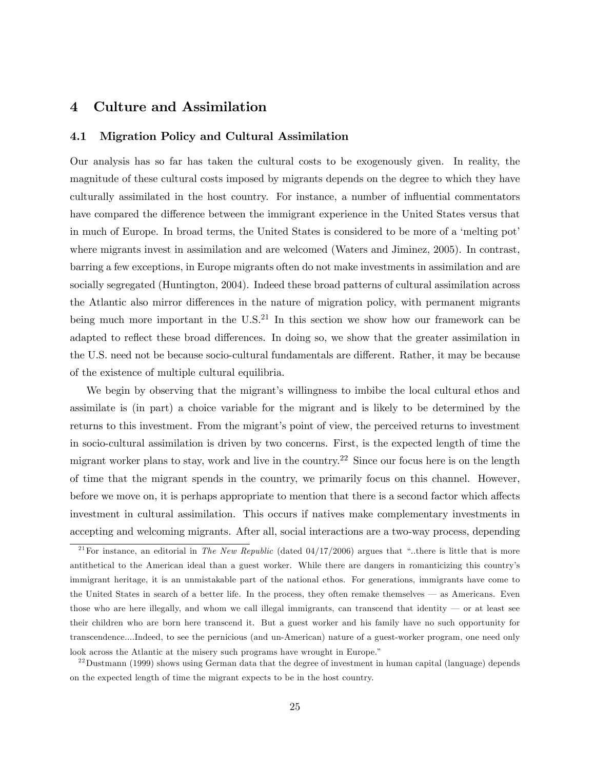### 4 Culture and Assimilation

### 4.1 Migration Policy and Cultural Assimilation

Our analysis has so far has taken the cultural costs to be exogenously given. In reality, the magnitude of these cultural costs imposed by migrants depends on the degree to which they have culturally assimilated in the host country. For instance, a number of influential commentators have compared the difference between the immigrant experience in the United States versus that in much of Europe. In broad terms, the United States is considered to be more of a 'melting pot' where migrants invest in assimilation and are welcomed (Waters and Jiminez, 2005). In contrast, barring a few exceptions, in Europe migrants often do not make investments in assimilation and are socially segregated (Huntington, 2004). Indeed these broad patterns of cultural assimilation across the Atlantic also mirror differences in the nature of migration policy, with permanent migrants being much more important in the  $U.S.<sup>21</sup>$  In this section we show how our framework can be adapted to reflect these broad differences. In doing so, we show that the greater assimilation in the U.S. need not be because socio-cultural fundamentals are different. Rather, it may be because of the existence of multiple cultural equilibria.

We begin by observing that the migrant's willingness to imbibe the local cultural ethos and assimilate is (in part) a choice variable for the migrant and is likely to be determined by the returns to this investment. From the migrant's point of view, the perceived returns to investment in socio-cultural assimilation is driven by two concerns. First, is the expected length of time the migrant worker plans to stay, work and live in the country.<sup>22</sup> Since our focus here is on the length of time that the migrant spends in the country, we primarily focus on this channel. However, before we move on, it is perhaps appropriate to mention that there is a second factor which affects investment in cultural assimilation. This occurs if natives make complementary investments in accepting and welcoming migrants. After all, social interactions are a two-way process, depending

 $^{22}$ Dustmann (1999) shows using German data that the degree of investment in human capital (language) depends on the expected length of time the migrant expects to be in the host country.

<sup>&</sup>lt;sup>21</sup> For instance, an editorial in *The New Republic* (dated  $04/17/2006$ ) argues that "..there is little that is more antithetical to the American ideal than a guest worker. While there are dangers in romanticizing this countryís immigrant heritage, it is an unmistakable part of the national ethos. For generations, immigrants have come to the United States in search of a better life. In the process, they often remake themselves  $\overline{\phantom{a}}$  as Americans. Even those who are here illegally, and whom we call illegal immigrants, can transcend that identity  $\sim$  or at least see their children who are born here transcend it. But a guest worker and his family have no such opportunity for transcendence....Indeed, to see the pernicious (and un-American) nature of a guest-worker program, one need only look across the Atlantic at the misery such programs have wrought in Europe."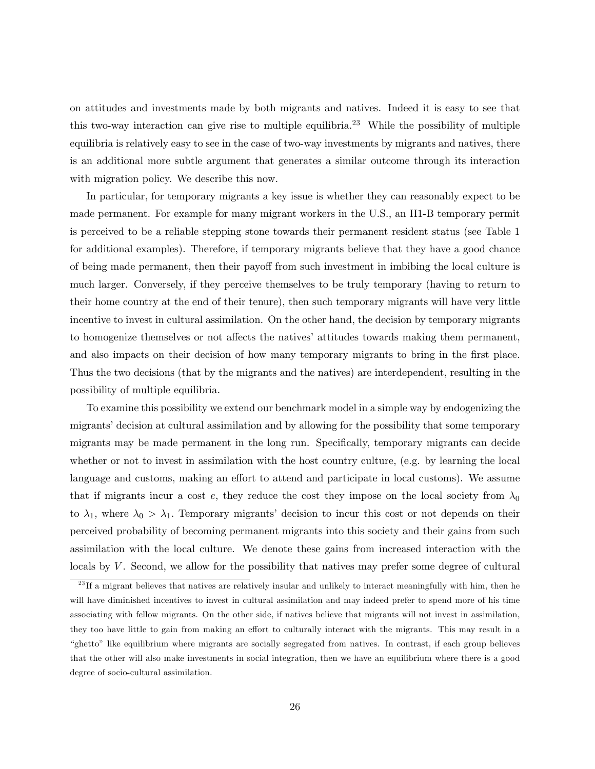on attitudes and investments made by both migrants and natives. Indeed it is easy to see that this two-way interaction can give rise to multiple equilibria.<sup>23</sup> While the possibility of multiple equilibria is relatively easy to see in the case of two-way investments by migrants and natives, there is an additional more subtle argument that generates a similar outcome through its interaction with migration policy. We describe this now.

In particular, for temporary migrants a key issue is whether they can reasonably expect to be made permanent. For example for many migrant workers in the U.S., an H1-B temporary permit is perceived to be a reliable stepping stone towards their permanent resident status (see Table 1 for additional examples). Therefore, if temporary migrants believe that they have a good chance of being made permanent, then their payoff from such investment in imbibing the local culture is much larger. Conversely, if they perceive themselves to be truly temporary (having to return to their home country at the end of their tenure), then such temporary migrants will have very little incentive to invest in cultural assimilation. On the other hand, the decision by temporary migrants to homogenize themselves or not affects the natives' attitudes towards making them permanent, and also impacts on their decision of how many temporary migrants to bring in the first place. Thus the two decisions (that by the migrants and the natives) are interdependent, resulting in the possibility of multiple equilibria.

To examine this possibility we extend our benchmark model in a simple way by endogenizing the migrants' decision at cultural assimilation and by allowing for the possibility that some temporary migrants may be made permanent in the long run. Specifically, temporary migrants can decide whether or not to invest in assimilation with the host country culture, (e.g. by learning the local language and customs, making an effort to attend and participate in local customs). We assume that if migrants incur a cost e, they reduce the cost they impose on the local society from  $\lambda_0$ to  $\lambda_1$ , where  $\lambda_0 > \lambda_1$ . Temporary migrants' decision to incur this cost or not depends on their perceived probability of becoming permanent migrants into this society and their gains from such assimilation with the local culture. We denote these gains from increased interaction with the locals by V. Second, we allow for the possibility that natives may prefer some degree of cultural

<sup>&</sup>lt;sup>23</sup>If a migrant believes that natives are relatively insular and unlikely to interact meaningfully with him, then he will have diminished incentives to invest in cultural assimilation and may indeed prefer to spend more of his time associating with fellow migrants. On the other side, if natives believe that migrants will not invest in assimilation, they too have little to gain from making an effort to culturally interact with the migrants. This may result in a ìghettoî like equilibrium where migrants are socially segregated from natives. In contrast, if each group believes that the other will also make investments in social integration, then we have an equilibrium where there is a good degree of socio-cultural assimilation.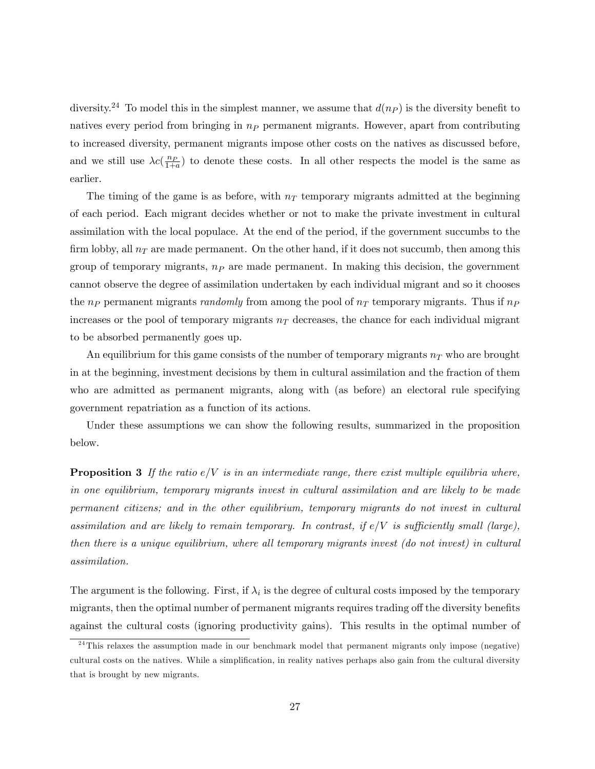diversity.<sup>24</sup> To model this in the simplest manner, we assume that  $d(n_P)$  is the diversity benefit to natives every period from bringing in  $n_P$  permanent migrants. However, apart from contributing to increased diversity, permanent migrants impose other costs on the natives as discussed before, and we still use  $\lambda c(\frac{np}{1+a})$  to denote these costs. In all other respects the model is the same as earlier.

The timing of the game is as before, with  $n<sub>T</sub>$  temporary migrants admitted at the beginning of each period. Each migrant decides whether or not to make the private investment in cultural assimilation with the local populace. At the end of the period, if the government succumbs to the firm lobby, all  $n_T$  are made permanent. On the other hand, if it does not succumb, then among this group of temporary migrants,  $n<sub>P</sub>$  are made permanent. In making this decision, the government cannot observe the degree of assimilation undertaken by each individual migrant and so it chooses the  $n_P$  permanent migrants *randomly* from among the pool of  $n_T$  temporary migrants. Thus if  $n_P$ increases or the pool of temporary migrants  $n<sub>T</sub>$  decreases, the chance for each individual migrant to be absorbed permanently goes up.

An equilibrium for this game consists of the number of temporary migrants  $n<sub>T</sub>$  who are brought in at the beginning, investment decisions by them in cultural assimilation and the fraction of them who are admitted as permanent migrants, along with (as before) an electoral rule specifying government repatriation as a function of its actions.

Under these assumptions we can show the following results, summarized in the proposition below.

**Proposition 3** If the ratio  $e/V$  is in an intermediate range, there exist multiple equilibria where, in one equilibrium, temporary migrants invest in cultural assimilation and are likely to be made permanent citizens; and in the other equilibrium, temporary migrants do not invest in cultural assimilation and are likely to remain temporary. In contrast, if  $e/V$  is sufficiently small (large), then there is a unique equilibrium, where all temporary migrants invest (do not invest) in cultural assimilation.

The argument is the following. First, if  $\lambda_i$  is the degree of cultural costs imposed by the temporary migrants, then the optimal number of permanent migrants requires trading off the diversity benefits against the cultural costs (ignoring productivity gains). This results in the optimal number of

 $24$ This relaxes the assumption made in our benchmark model that permanent migrants only impose (negative) cultural costs on the natives. While a simplification, in reality natives perhaps also gain from the cultural diversity that is brought by new migrants.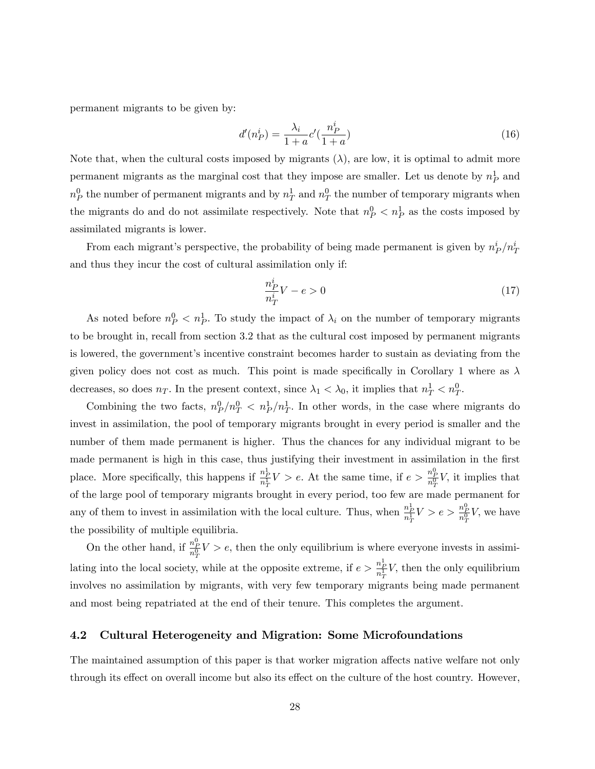permanent migrants to be given by:

$$
d'(n_P^i) = \frac{\lambda_i}{1+a} c'(\frac{n_P^i}{1+a})
$$
\n(16)

Note that, when the cultural costs imposed by migrants  $(\lambda)$ , are low, it is optimal to admit more permanent migrants as the marginal cost that they impose are smaller. Let us denote by  $n_P^1$  and  $n_P^0$  the number of permanent migrants and by  $n_T^1$  and  $n_T^0$  the number of temporary migrants when the migrants do and do not assimilate respectively. Note that  $n_P^0 < n_P^1$  as the costs imposed by assimilated migrants is lower.

From each migrant's perspective, the probability of being made permanent is given by  $n_P^i/n_T^i$ and thus they incur the cost of cultural assimilation only if:

$$
\frac{n_P^i}{n_T^i}V - e > 0\tag{17}
$$

As noted before  $n_P^0 < n_P^1$ . To study the impact of  $\lambda_i$  on the number of temporary migrants to be brought in, recall from section 3.2 that as the cultural cost imposed by permanent migrants is lowered, the government's incentive constraint becomes harder to sustain as deviating from the given policy does not cost as much. This point is made specifically in Corollary 1 where as  $\lambda$ decreases, so does  $n_T$ . In the present context, since  $\lambda_1 < \lambda_0$ , it implies that  $n_T^1 < n_T^0$ .

Combining the two facts,  $n_P^0/n_T^0 < n_P^1/n_T^1$ . In other words, in the case where migrants do invest in assimilation, the pool of temporary migrants brought in every period is smaller and the number of them made permanent is higher. Thus the chances for any individual migrant to be made permanent is high in this case, thus justifying their investment in assimilation in the first place. More specifically, this happens if  $\frac{n_P^1}{n_T^1}V > e$ . At the same time, if  $e > \frac{n_P^0}{n_T^0}V$ , it implies that of the large pool of temporary migrants brought in every period, too few are made permanent for any of them to invest in assimilation with the local culture. Thus, when  $\frac{n_P^1}{n_T^1}V > e > \frac{n_P^0}{n_T^0}V$ , we have the possibility of multiple equilibria.

On the other hand, if  $\frac{n_p^0}{n_T^0}V > e$ , then the only equilibrium is where everyone invests in assimilating into the local society, while at the opposite extreme, if  $e > \frac{n_P^1}{n_T^1}V$ , then the only equilibrium involves no assimilation by migrants, with very few temporary migrants being made permanent and most being repatriated at the end of their tenure. This completes the argument.

### 4.2 Cultural Heterogeneity and Migration: Some Microfoundations

The maintained assumption of this paper is that worker migration affects native welfare not only through its effect on overall income but also its effect on the culture of the host country. However,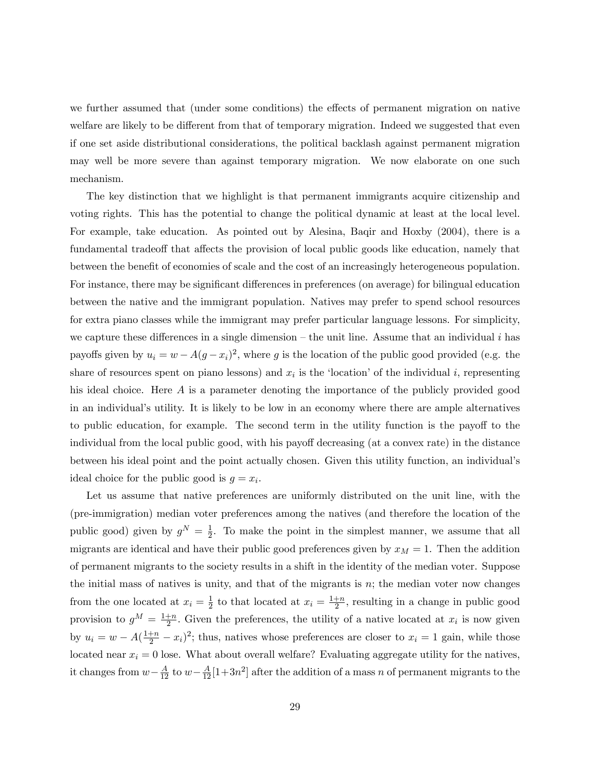we further assumed that (under some conditions) the effects of permanent migration on native welfare are likely to be different from that of temporary migration. Indeed we suggested that even if one set aside distributional considerations, the political backlash against permanent migration may well be more severe than against temporary migration. We now elaborate on one such mechanism.

The key distinction that we highlight is that permanent immigrants acquire citizenship and voting rights. This has the potential to change the political dynamic at least at the local level. For example, take education. As pointed out by Alesina, Baqir and Hoxby (2004), there is a fundamental tradeoff that affects the provision of local public goods like education, namely that between the benefit of economies of scale and the cost of an increasingly heterogeneous population. For instance, there may be significant differences in preferences (on average) for bilingual education between the native and the immigrant population. Natives may prefer to spend school resources for extra piano classes while the immigrant may prefer particular language lessons. For simplicity, we capture these differences in a single dimension – the unit line. Assume that an individual i has payoffs given by  $u_i = w - A(g - x_i)^2$ , where g is the location of the public good provided (e.g. the share of resources spent on piano lessons) and  $x_i$  is the 'location' of the individual i, representing his ideal choice. Here A is a parameter denoting the importance of the publicly provided good in an individual's utility. It is likely to be low in an economy where there are ample alternatives to public education, for example. The second term in the utility function is the payoff to the individual from the local public good, with his payoff decreasing (at a convex rate) in the distance between his ideal point and the point actually chosen. Given this utility function, an individual's ideal choice for the public good is  $g = x_i$ .

Let us assume that native preferences are uniformly distributed on the unit line, with the (pre-immigration) median voter preferences among the natives (and therefore the location of the public good) given by  $g^N = \frac{1}{2}$  $\frac{1}{2}$ . To make the point in the simplest manner, we assume that all migrants are identical and have their public good preferences given by  $x_M = 1$ . Then the addition of permanent migrants to the society results in a shift in the identity of the median voter. Suppose the initial mass of natives is unity, and that of the migrants is n; the median voter now changes from the one located at  $x_i = \frac{1}{2}$  $\frac{1}{2}$  to that located at  $x_i = \frac{1+n}{2}$  $\frac{+n}{2}$ , resulting in a change in public good provision to  $g^M = \frac{1+n}{2}$  $\frac{+n}{2}$ . Given the preferences, the utility of a native located at  $x_i$  is now given by  $u_i = w - A(\frac{1+n}{2} - x_i)^2$ ; thus, natives whose preferences are closer to  $x_i = 1$  gain, while those located near  $x_i = 0$  lose. What about overall welfare? Evaluating aggregate utility for the natives, it changes from  $w - \frac{A}{12}$  to  $w - \frac{A}{12} [1 + 3n^2]$  after the addition of a mass n of permanent migrants to the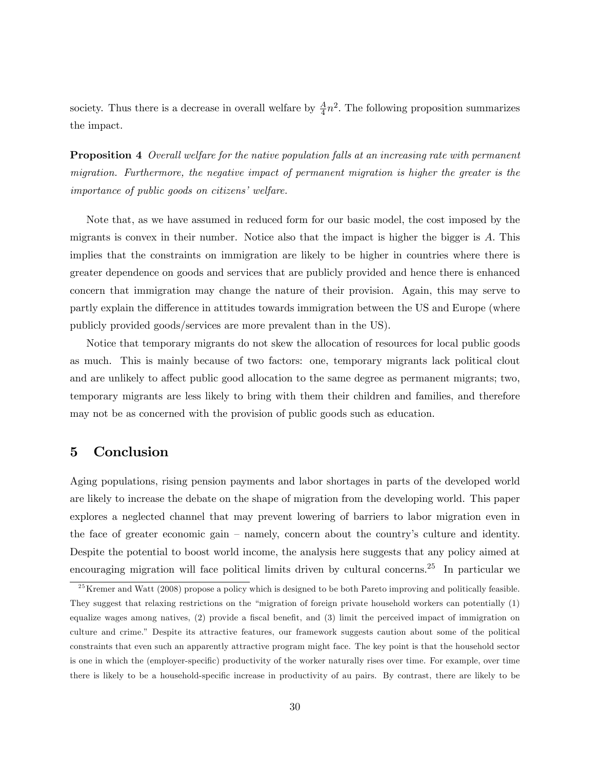society. Thus there is a decrease in overall welfare by  $\frac{A}{4}n^2$ . The following proposition summarizes the impact.

**Proposition 4** Overall welfare for the native population falls at an increasing rate with permanent migration. Furthermore, the negative impact of permanent migration is higher the greater is the  $importance of public goods on citizens' welfare.$ 

Note that, as we have assumed in reduced form for our basic model, the cost imposed by the migrants is convex in their number. Notice also that the impact is higher the bigger is A: This implies that the constraints on immigration are likely to be higher in countries where there is greater dependence on goods and services that are publicly provided and hence there is enhanced concern that immigration may change the nature of their provision. Again, this may serve to partly explain the difference in attitudes towards immigration between the US and Europe (where publicly provided goods/services are more prevalent than in the US).

Notice that temporary migrants do not skew the allocation of resources for local public goods as much. This is mainly because of two factors: one, temporary migrants lack political clout and are unlikely to affect public good allocation to the same degree as permanent migrants; two, temporary migrants are less likely to bring with them their children and families, and therefore may not be as concerned with the provision of public goods such as education.

# 5 Conclusion

Aging populations, rising pension payments and labor shortages in parts of the developed world are likely to increase the debate on the shape of migration from the developing world. This paper explores a neglected channel that may prevent lowering of barriers to labor migration even in the face of greater economic gain  $-$  namely, concern about the country's culture and identity. Despite the potential to boost world income, the analysis here suggests that any policy aimed at encouraging migration will face political limits driven by cultural concerns.<sup>25</sup> In particular we

 $25$ Kremer and Watt (2008) propose a policy which is designed to be both Pareto improving and politically feasible. They suggest that relaxing restrictions on the "migration of foreign private household workers can potentially (1) equalize wages among natives, (2) provide a fiscal benefit, and (3) limit the perceived impact of immigration on culture and crime.î Despite its attractive features, our framework suggests caution about some of the political constraints that even such an apparently attractive program might face. The key point is that the household sector is one in which the (employer-specific) productivity of the worker naturally rises over time. For example, over time there is likely to be a household-specific increase in productivity of au pairs. By contrast, there are likely to be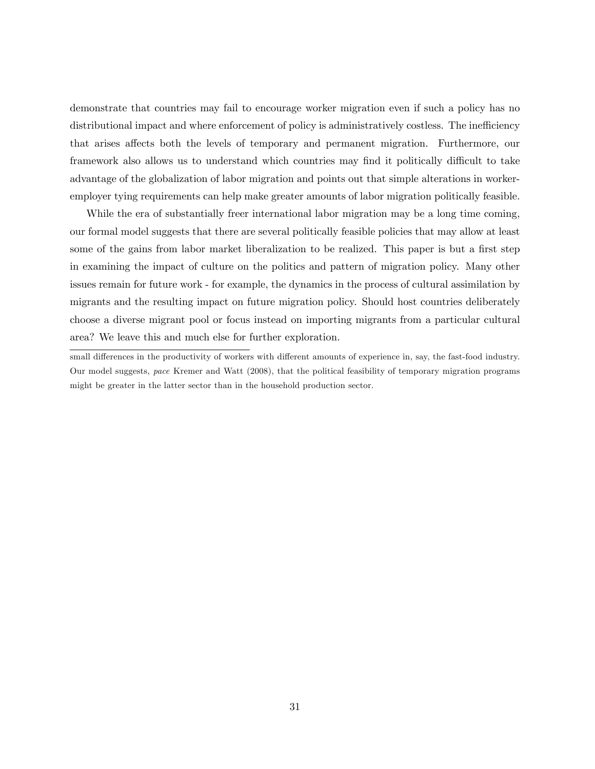demonstrate that countries may fail to encourage worker migration even if such a policy has no distributional impact and where enforcement of policy is administratively costless. The inefficiency that arises affects both the levels of temporary and permanent migration. Furthermore, our framework also allows us to understand which countries may find it politically difficult to take advantage of the globalization of labor migration and points out that simple alterations in workeremployer tying requirements can help make greater amounts of labor migration politically feasible.

While the era of substantially freer international labor migration may be a long time coming, our formal model suggests that there are several politically feasible policies that may allow at least some of the gains from labor market liberalization to be realized. This paper is but a first step in examining the impact of culture on the politics and pattern of migration policy. Many other issues remain for future work - for example, the dynamics in the process of cultural assimilation by migrants and the resulting impact on future migration policy. Should host countries deliberately choose a diverse migrant pool or focus instead on importing migrants from a particular cultural area? We leave this and much else for further exploration.

small differences in the productivity of workers with different amounts of experience in, say, the fast-food industry. Our model suggests, pace Kremer and Watt (2008), that the political feasibility of temporary migration programs might be greater in the latter sector than in the household production sector.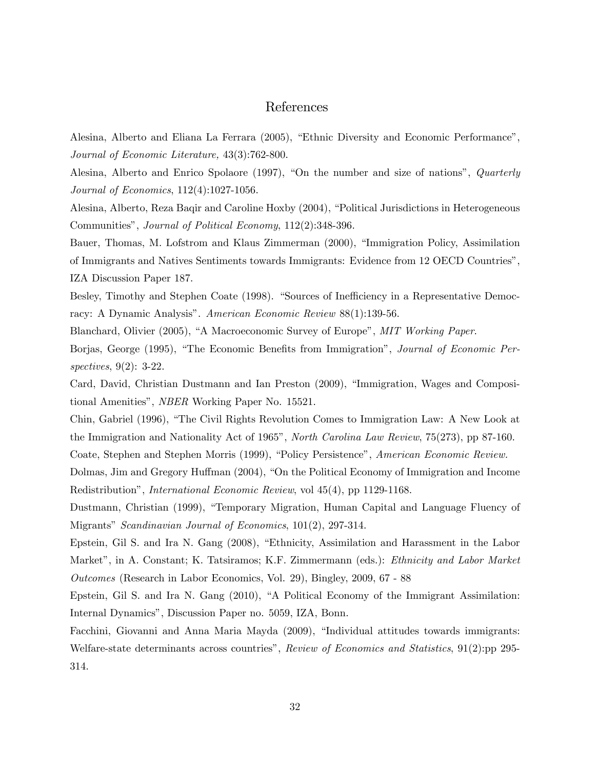# References

Alesina, Alberto and Eliana La Ferrara (2005), "Ethnic Diversity and Economic Performance", Journal of Economic Literature, 43(3):762-800.

Alesina, Alberto and Enrico Spolaore (1997), "On the number and size of nations", Quarterly Journal of Economics, 112(4):1027-1056.

Alesina, Alberto, Reza Baqir and Caroline Hoxby (2004), "Political Jurisdictions in Heterogeneous Communities", Journal of Political Economy, 112(2):348-396.

Bauer, Thomas, M. Lofstrom and Klaus Zimmerman (2000), "Immigration Policy, Assimilation of Immigrants and Natives Sentiments towards Immigrants: Evidence from 12 OECD Countriesî, IZA Discussion Paper 187.

Besley, Timothy and Stephen Coate (1998). "Sources of Inefficiency in a Representative Democracy: A Dynamic Analysis". American Economic Review 88(1):139-56.

Blanchard, Olivier (2005), "A Macroeconomic Survey of Europe", MIT Working Paper.

Borjas, George (1995), "The Economic Benefits from Immigration", Journal of Economic Perspectives, 9(2): 3-22.

Card, David, Christian Dustmann and Ian Preston (2009), "Immigration, Wages and Compositional Amenities", *NBER* Working Paper No. 15521.

Chin, Gabriel (1996), "The Civil Rights Revolution Comes to Immigration Law: A New Look at the Immigration and Nationality Act of 1965", *North Carolina Law Review*, 75(273), pp 87-160.

Coate, Stephen and Stephen Morris (1999), "Policy Persistence", American Economic Review.

Dolmas, Jim and Gregory Huffman (2004), "On the Political Economy of Immigration and Income Redistributionî, International Economic Review, vol 45(4), pp 1129-1168.

Dustmann, Christian (1999), "Temporary Migration, Human Capital and Language Fluency of Migrants" Scandinavian Journal of Economics,  $101(2)$ , 297-314.

Epstein, Gil S. and Ira N. Gang (2008), "Ethnicity, Assimilation and Harassment in the Labor Market", in A. Constant; K. Tatsiramos; K.F. Zimmermann (eds.): Ethnicity and Labor Market Outcomes (Research in Labor Economics, Vol. 29), Bingley, 2009, 67 - 88

Epstein, Gil S. and Ira N. Gang  $(2010)$ , "A Political Economy of the Immigrant Assimilation: Internal Dynamicsî, Discussion Paper no. 5059, IZA, Bonn.

Facchini, Giovanni and Anna Maria Mayda (2009), "Individual attitudes towards immigrants: Welfare-state determinants across countries", Review of Economics and Statistics, 91(2):pp 295-314.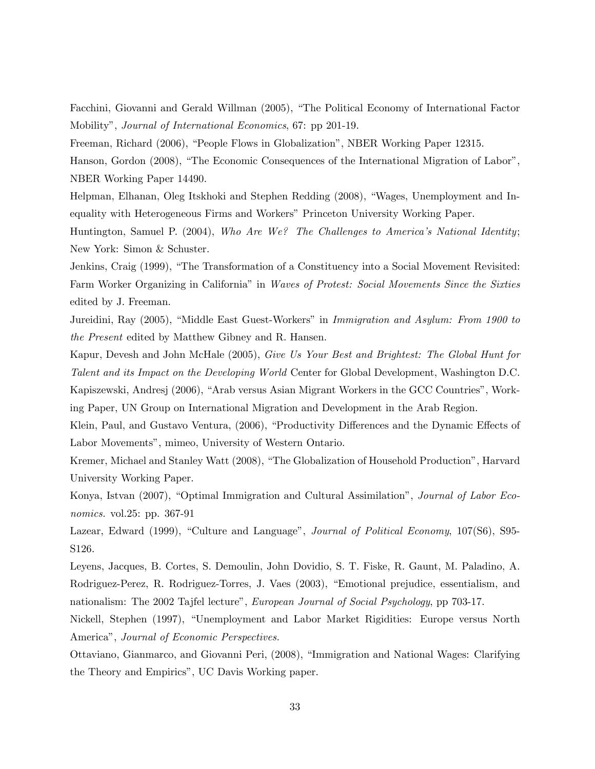Facchini, Giovanni and Gerald Willman (2005), "The Political Economy of International Factor Mobility", *Journal of International Economics*, 67: pp 201-19.

Freeman, Richard (2006), "People Flows in Globalization", NBER Working Paper 12315.

Hanson, Gordon (2008), "The Economic Consequences of the International Migration of Labor", NBER Working Paper 14490.

Helpman, Elhanan, Oleg Itskhoki and Stephen Redding (2008), "Wages, Unemployment and Inequality with Heterogeneous Firms and Workers" Princeton University Working Paper.

Huntington, Samuel P. (2004), Who Are We? The Challenges to America's National Identity; New York: Simon & Schuster.

Jenkins, Craig (1999), "The Transformation of a Constituency into a Social Movement Revisited: Farm Worker Organizing in California" in Waves of Protest: Social Movements Since the Sixties edited by J. Freeman.

Jureidini, Ray (2005), "Middle East Guest-Workers" in *Immigration and Asylum: From 1900 to* the Present edited by Matthew Gibney and R. Hansen.

Kapur, Devesh and John McHale (2005), Give Us Your Best and Brightest: The Global Hunt for Talent and its Impact on the Developing World Center for Global Development, Washington D.C.

Kapiszewski, Andresj (2006), "Arab versus Asian Migrant Workers in the GCC Countries", Working Paper, UN Group on International Migration and Development in the Arab Region.

Klein, Paul, and Gustavo Ventura, (2006), "Productivity Differences and the Dynamic Effects of Labor Movements", mimeo, University of Western Ontario.

Kremer, Michael and Stanley Watt (2008), "The Globalization of Household Production", Harvard University Working Paper.

Konya, Istvan (2007), "Optimal Immigration and Cultural Assimilation", *Journal of Labor Eco*nomics. vol.25: pp. 367-91

Lazear, Edward (1999), "Culture and Language", *Journal of Political Economy*, 107(S6), S95-S126.

Leyens, Jacques, B. Cortes, S. Demoulin, John Dovidio, S. T. Fiske, R. Gaunt, M. Paladino, A. Rodriguez-Perez, R. Rodriguez-Torres, J. Vaes (2003), "Emotional prejudice, essentialism, and nationalism: The 2002 Tajfel lecture", *European Journal of Social Psychology*, pp 703-17.

Nickell, Stephen (1997), "Unemployment and Labor Market Rigidities: Europe versus North America", Journal of Economic Perspectives.

Ottaviano, Gianmarco, and Giovanni Peri, (2008), "Immigration and National Wages: Clarifying the Theory and Empirics", UC Davis Working paper.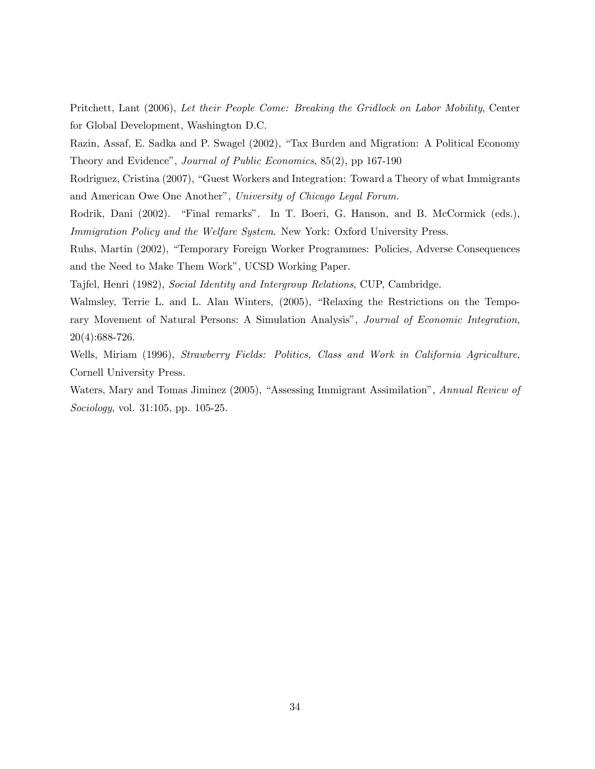Pritchett, Lant (2006), Let their People Come: Breaking the Gridlock on Labor Mobility, Center for Global Development, Washington D.C.

Razin, Assaf, E. Sadka and P. Swagel (2002), "Tax Burden and Migration: A Political Economy Theory and Evidence", Journal of Public Economics, 85(2), pp 167-190

Rodriguez, Cristina (2007), "Guest Workers and Integration: Toward a Theory of what Immigrants and American Owe One Another", University of Chicago Legal Forum.

Rodrik, Dani (2002). "Final remarks". In T. Boeri, G. Hanson, and B. McCormick (eds.), Immigration Policy and the Welfare System. New York: Oxford University Press.

Ruhs, Martin (2002), "Temporary Foreign Worker Programmes: Policies, Adverse Consequences and the Need to Make Them Workî, UCSD Working Paper.

Tajfel, Henri (1982), Social Identity and Intergroup Relations, CUP, Cambridge.

Walmsley, Terrie L. and L. Alan Winters, (2005), "Relaxing the Restrictions on the Temporary Movement of Natural Persons: A Simulation Analysis", Journal of Economic Integration, 20(4):688-726.

Wells, Miriam (1996), Strawberry Fields: Politics, Class and Work in California Agriculture, Cornell University Press.

Waters, Mary and Tomas Jiminez (2005), "Assessing Immigrant Assimilation", Annual Review of Sociology, vol. 31:105, pp. 105-25.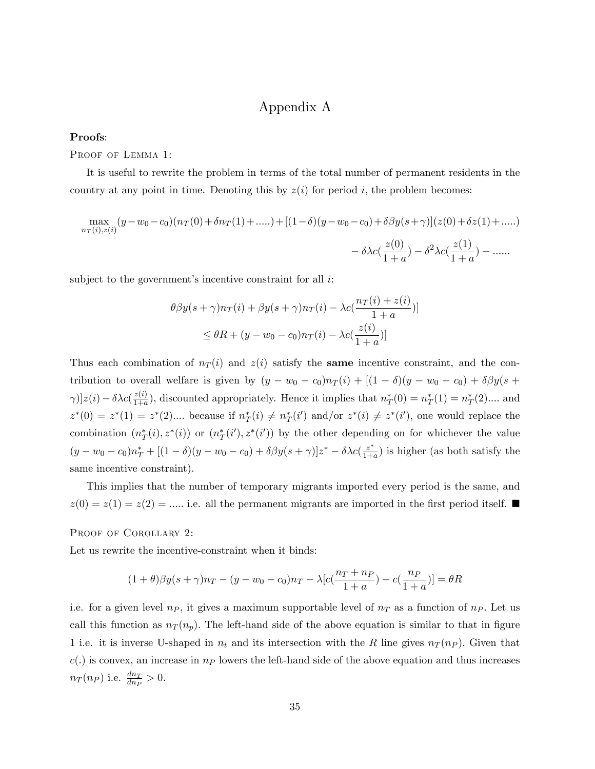# Appendix A

#### Proofs:

PROOF OF LEMMA 1:

It is useful to rewrite the problem in terms of the total number of permanent residents in the country at any point in time. Denoting this by  $z(i)$  for period i, the problem becomes:

$$
\max_{n_T(i),z(i)} (y - w_0 - c_0)(n_T(0) + \delta n_T(1) + \dots) + [(1 - \delta)(y - w_0 - c_0) + \delta \beta y(s + \gamma)](z(0) + \delta z(1) + \dots) - \delta \lambda c(\frac{z(0)}{1 + a}) - \delta^2 \lambda c(\frac{z(1)}{1 + a}) - \dots
$$

subject to the government's incentive constraint for all  $i$ .

$$
\theta \beta y(s+\gamma) n_T(i) + \beta y(s+\gamma) n_T(i) - \lambda c \left(\frac{n_T(i) + z(i)}{1+a}\right)]
$$
  

$$
\leq \theta R + (y - w_0 - c_0) n_T(i) - \lambda c \left(\frac{z(i)}{1+a}\right)]
$$

Thus each combination of  $n_T(i)$  and  $z(i)$  satisfy the **same** incentive constraint, and the contribution to overall welfare is given by  $(y - w_0 - c_0)n_T(i) + [(1 - \delta)(y - w_0 - c_0) + \delta\beta y(s +$  $[\gamma]]z(i) - \delta\lambda c(\frac{z(i)}{1+a})$  $\frac{z(i)}{1+a}$ , discounted appropriately. Hence it implies that  $n^*_T(0) = n^*_T(1) = n^*_T(2)$ .... and  $z^*(0) = z^*(1) = z^*(2) \dots$  because if  $n^*_{T}(i) \neq n^*_{T}(i')$  and/or  $z^*(i) \neq z^*(i')$ , one would replace the combination  $(n_T^*(i), z^*(i))$  or  $(n_T^*(i'), z^*(i'))$  by the other depending on for whichever the value  $(y - w_0 - c_0)n_T^* + [(1 - \delta)(y - w_0 - c_0) + \delta\beta y(s + \gamma)]z^* - \delta\lambda c(\frac{z^*}{1+a})$  is higher (as both satisfy the same incentive constraint).

This implies that the number of temporary migrants imported every period is the same, and  $z(0) = z(1) = z(2) = \dots$  i.e. all the permanent migrants are imported in the first period itself.

PROOF OF COROLLARY 2:

Let us rewrite the incentive-constraint when it binds:

$$
(1+\theta)\beta y(s+\gamma)n_T-(y-w_0-c_0)n_T-\lambda[c(\frac{n_T+n_P}{1+a})-c(\frac{n_P}{1+a})]=\theta R
$$

i.e. for a given level  $n_P$ , it gives a maximum supportable level of  $n_T$  as a function of  $n_P$ . Let us call this function as  $n_T(n_p)$ . The left-hand side of the above equation is similar to that in figure 1 i.e. it is inverse U-shaped in  $n_t$  and its intersection with the R line gives  $n_T (n_P)$ . Given that  $c(.)$  is convex, an increase in  $n_P$  lowers the left-hand side of the above equation and thus increases  $n_T(n_P)$  i.e.  $\frac{dn_T}{dn_P} > 0$ .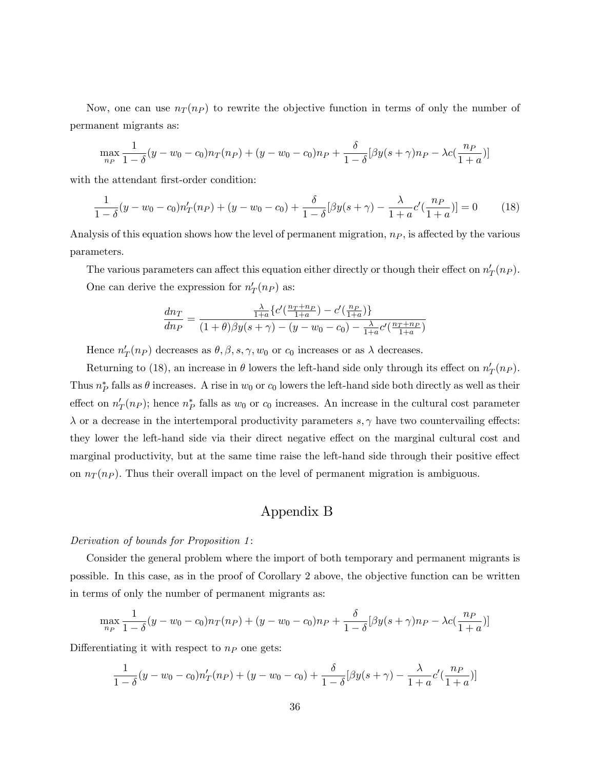Now, one can use  $n_T (n_P)$  to rewrite the objective function in terms of only the number of permanent migrants as:

$$
\max_{n_P} \frac{1}{1-\delta}(y-w_0-c_0)n_T(n_P) + (y-w_0-c_0)n_P + \frac{\delta}{1-\delta}[\beta y(s+\gamma)n_P - \lambda c(\frac{n_P}{1+a})]
$$

with the attendant first-order condition:

$$
\frac{1}{1-\delta}(y-w_0-c_0)n'_T(np) + (y-w_0-c_0) + \frac{\delta}{1-\delta}[\beta y(s+\gamma) - \frac{\lambda}{1+a}c'(\frac{np}{1+a})] = 0 \tag{18}
$$

Analysis of this equation shows how the level of permanent migration,  $n<sub>P</sub>$ , is affected by the various parameters.

The various parameters can affect this equation either directly or though their effect on  $n'_T(n_P)$ . One can derive the expression for  $n'_T(n_P)$  as:

$$
\frac{dn_T}{dn_P} = \frac{\frac{\lambda}{1+a} \{c'(\frac{nr+np}{1+a}) - c'(\frac{np}{1+a})\}}{(1+\theta)\beta y(s+\gamma) - (y-w_0-c_0) - \frac{\lambda}{1+a}c'(\frac{nr+np}{1+a})}
$$

Hence  $n'_T(n_P)$  decreases as  $\theta, \beta, s, \gamma, w_0$  or  $c_0$  increases or as  $\lambda$  decreases.

Returning to (18), an increase in  $\theta$  lowers the left-hand side only through its effect on  $n'_T(n_P)$ . Thus  $n_P^*$  falls as  $\theta$  increases. A rise in  $w_0$  or  $c_0$  lowers the left-hand side both directly as well as their effect on  $n'_T(n_P)$ ; hence  $n_P^*$  falls as  $w_0$  or  $c_0$  increases. An increase in the cultural cost parameter  $\lambda$  or a decrease in the intertemporal productivity parameters  $s, \gamma$  have two countervailing effects: they lower the left-hand side via their direct negative effect on the marginal cultural cost and marginal productivity, but at the same time raise the left-hand side through their positive effect on  $n_T (n_P)$ . Thus their overall impact on the level of permanent migration is ambiguous.

# Appendix B

#### Derivation of bounds for Proposition 1:

Consider the general problem where the import of both temporary and permanent migrants is possible. In this case, as in the proof of Corollary 2 above, the objective function can be written in terms of only the number of permanent migrants as:

$$
\max_{np} \frac{1}{1-\delta}(y-w_0-c_0)n_T(np) + (y-w_0-c_0)n_P + \frac{\delta}{1-\delta}[\beta y(s+\gamma)n_P - \lambda c(\frac{np}{1+a})]
$$

Differentiating it with respect to  $n<sub>P</sub>$  one gets:

$$
\frac{1}{1-\delta}(y-w_0-c_0)n'_T(np) + (y-w_0-c_0) + \frac{\delta}{1-\delta}[\beta y(s+\gamma) - \frac{\lambda}{1+a}c'(\frac{np}{1+a})]
$$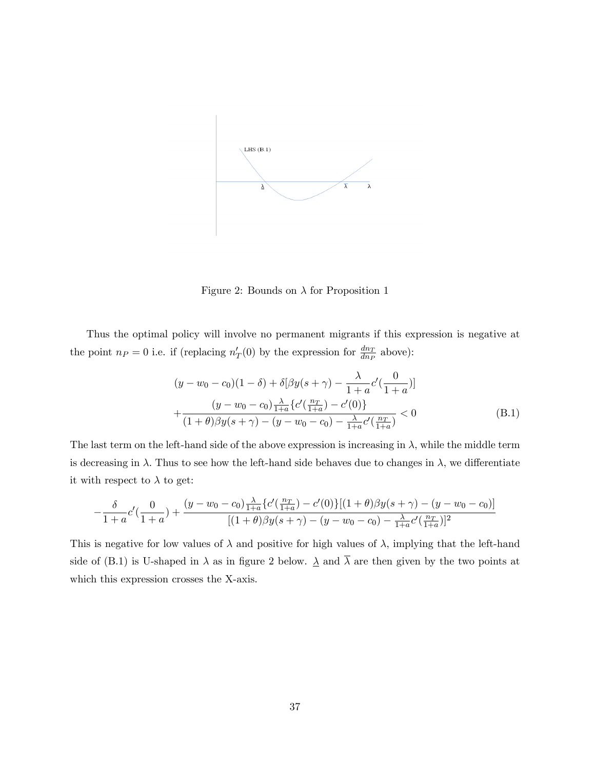

Figure 2: Bounds on  $\lambda$  for Proposition 1

Thus the optimal policy will involve no permanent migrants if this expression is negative at the point  $n_P = 0$  i.e. if (replacing  $n'_T(0)$  by the expression for  $\frac{dn_T}{dn_P}$  above):

$$
(y - w_0 - c_0)(1 - \delta) + \delta[\beta y(s + \gamma) - \frac{\lambda}{1 + a}c'(\frac{0}{1 + a})]
$$
  
+ 
$$
\frac{(y - w_0 - c_0)\frac{\lambda}{1 + a}\{c'(\frac{n_T}{1 + a}) - c'(0)\}}{(1 + \theta)\beta y(s + \gamma) - (y - w_0 - c_0) - \frac{\lambda}{1 + a}c'(\frac{n_T}{1 + a})} < 0
$$
 (B.1)

The last term on the left-hand side of the above expression is increasing in  $\lambda$ , while the middle term is decreasing in  $\lambda$ . Thus to see how the left-hand side behaves due to changes in  $\lambda$ , we differentiate it with respect to  $\lambda$  to get:

$$
-\frac{\delta}{1+a}c'(\frac{0}{1+a})+\frac{(y-w_0-c_0)\frac{\lambda}{1+a}\{c'(\frac{nr}{1+a})-c'(0)\}[(1+\theta)\beta y(s+\gamma)-(y-w_0-c_0)]}{[(1+\theta)\beta y(s+\gamma)-(y-w_0-c_0)-\frac{\lambda}{1+a}c'(\frac{nr}{1+a})]^2}
$$

This is negative for low values of  $\lambda$  and positive for high values of  $\lambda$ , implying that the left-hand side of (B.1) is U-shaped in  $\lambda$  as in figure 2 below.  $\underline{\lambda}$  and  $\overline{\lambda}$  are then given by the two points at which this expression crosses the X-axis: